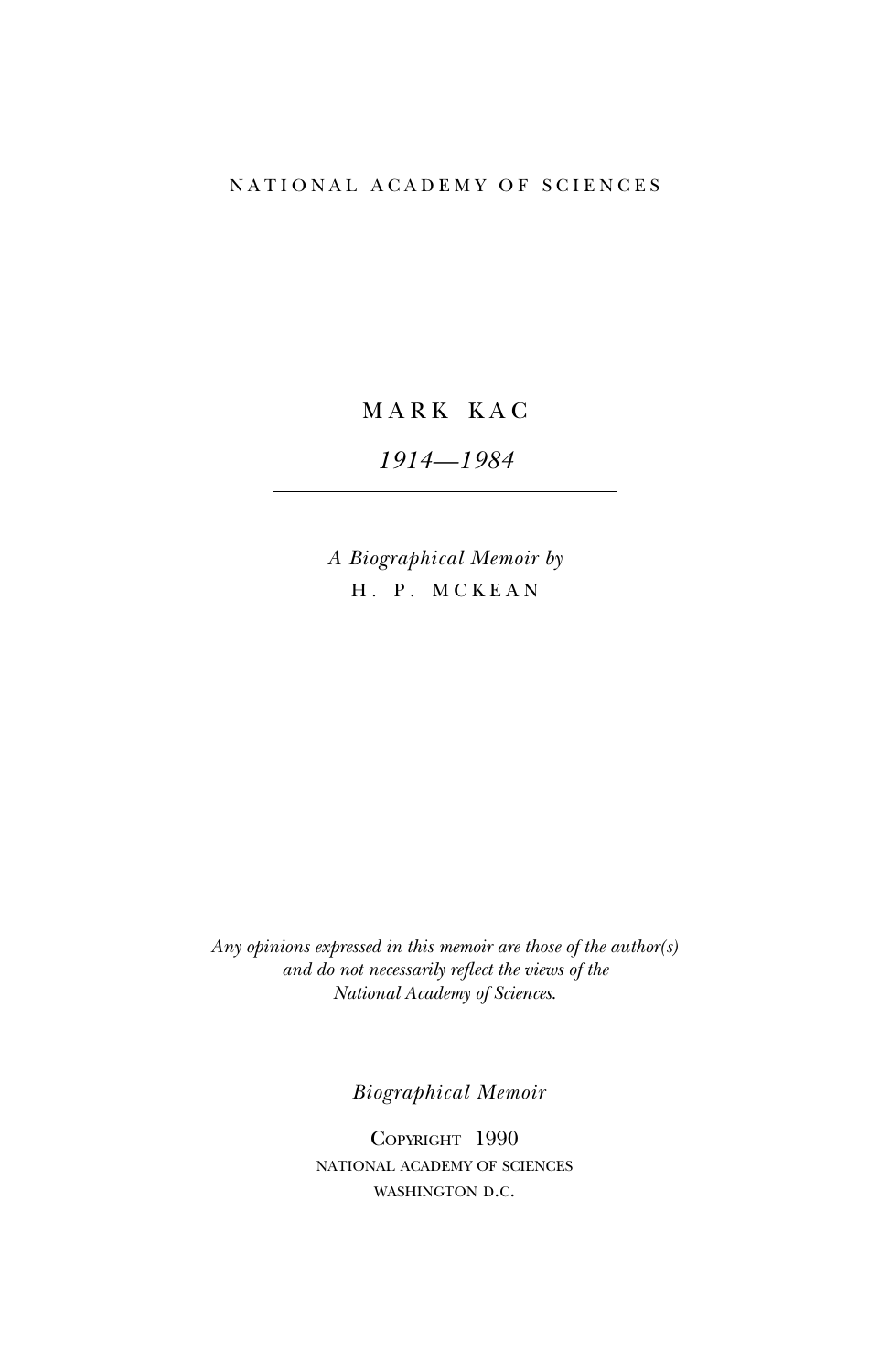# NATIONAL ACADEMY OF SCIENCES

MARK KAC

*1914—1984*

*A Biographical Memoir by* H. P. MCKEAN

*Any opinions expressed in this memoir are those of the author(s) and do not necessarily reflect the views of the National Academy of Sciences*.

*Biographical Memoir*

Copyright 1990 national academy of sciences WASHINGTON D.C.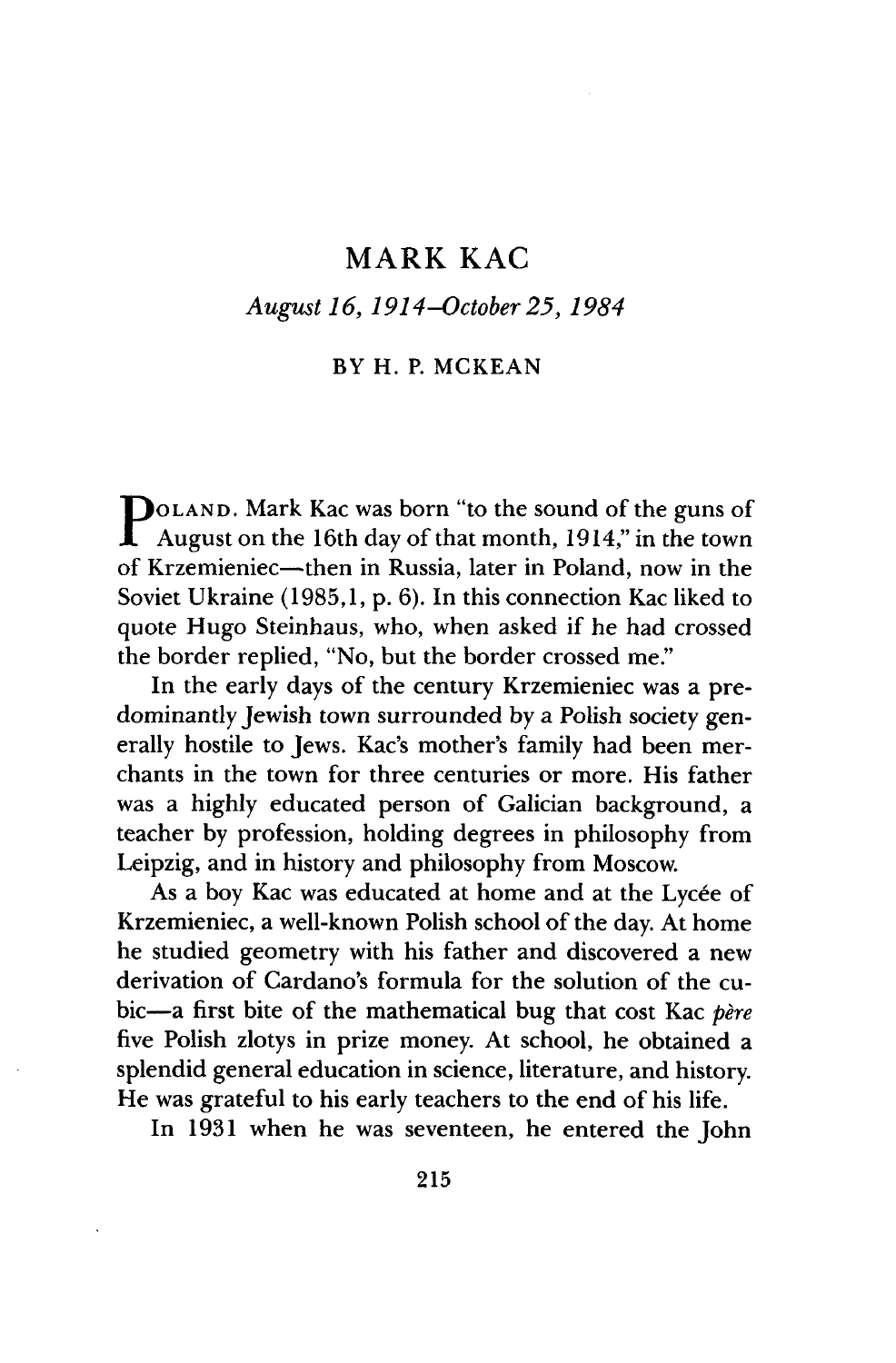# *August 16,1914-October25,1984*

# BY H. P. MCKEAN

P August on the 16th day of that month, 1914," in the town DOLAND. Mark Kac was born "to the sound of the guns of of Krzemieniec—then in Russia, later in Poland, now in the Soviet Ukraine (1985,1, p. 6). In this connection Kac liked to quote Hugo Steinhaus, who, when asked if he had crossed the border replied, "No, but the border crossed me."

In the early days of the century Krzemieniec was a predominantly Jewish town surrounded by a Polish society generally hostile to Jews. Kac's mother's family had been merchants in the town for three centuries or more. His father was a highly educated person of Galician background, a teacher by profession, holding degrees in philosophy from Leipzig, and in history and philosophy from Moscow.

As a boy Kac was educated at home and at the Lycée of Krzemieniec, a well-known Polish school of the day. At home he studied geometry with his father and discovered a new derivation of Cardano's formula for the solution of the cubic—a first bite of the mathematical bug that cost Kac *bère* five Polish zlotys in prize money. At school, he obtained a splendid general education in science, literature, and history. He was grateful to his early teachers to the end of his life.

In 1931 when he was seventeen, he entered the John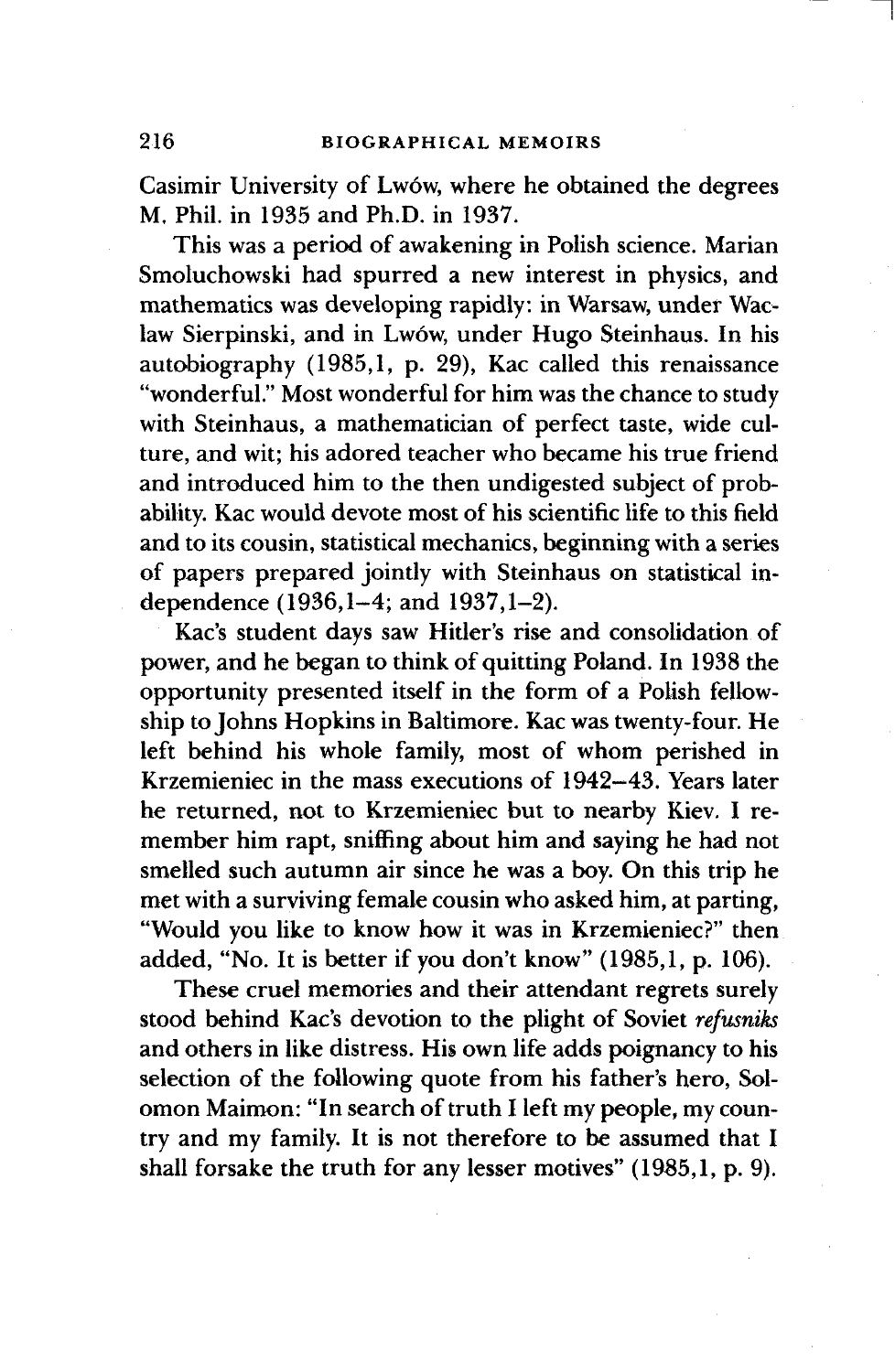Casimir University of Lwow, where he obtained the degrees M. Phil, in 1935 and Ph.D. in 1937.

This was a period of awakening in Polish science. Marian Smoluchowski had spurred a new interest in physics, and mathematics was developing rapidly: in Warsaw, under Waclaw Sierpinski, and in Lw6w, under Hugo Steinhaus. In his autobiography (1985,1, p. 29), Kac called this renaissance "wonderful." Most wonderful for him was the chance to study with Steinhaus, a mathematician of perfect taste, wide culture, and wit; his adored teacher who became his true friend and introduced him to the then undigested subject of probability. Kac would devote most of his scientific life to this field and to its cousin, statistical mechanics, beginning with a series of papers prepared jointly with Steinhaus on statistical independence (1936,1-4; and 1937,1-2).

Kac's student days saw Hitler's rise and consolidation of power, and he began to think of quitting Poland. In 1938 the opportunity presented itself in the form of a Polish fellowship to Johns Hopkins in Baltimore. Kac was twenty-four. He left behind his whole family, most of whom perished in Krzemieniec in the mass executions of 1942-43. Years later he returned, not to Krzemieniec but to nearby Kiev. I remember him rapt, sniffing about him and saying he had not smelled such autumn air since he was a boy. On this trip he met with a surviving female cousin who asked him, at parting, "Would you like to know how it was in Krzemieniec?" then added, "No. It is better if you don't know" (1985,1, p. 106).

These cruel memories and their attendant regrets surely stood behind Kac's devotion to the plight of Soviet *refusniks* and others in like distress. His own life adds poignancy to his selection of the following quote from his father's hero, Solomon Maimon: "In search of truth I left my people, my country and my family. It is not therefore to be assumed that I shall forsake the truth for any lesser motives" (1985,1, p. 9).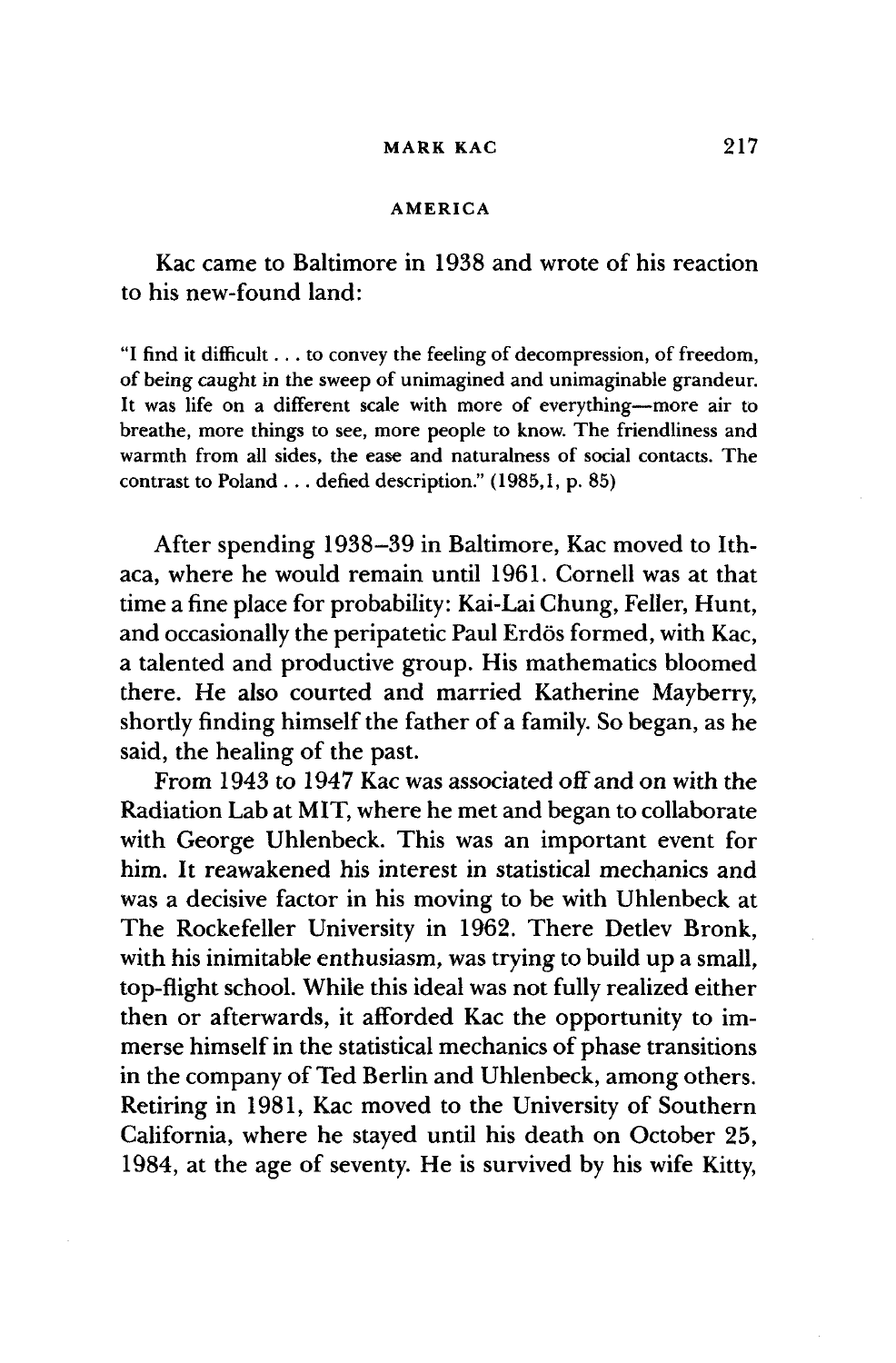#### **AMERICA**

Kac came to Baltimore in 1938 and wrote of his reaction to his new-found land:

"I find it difficult... to convey the feeling of decompression, of freedom, of being caught in the sweep of unimagined and unimaginable grandeur. It was life on a different scale with more of everything—more air to breathe, more things to see, more people to know. The friendliness and warmth from all sides, the ease and naturalness of social contacts. The contrast to Poland . . . defied description." (1985,1, p. 85)

After spending 1938-39 in Baltimore, Kac moved to Ithaca, where he would remain until 1961. Cornell was at that time a fine place for probability: Kai-Lai Chung, Feller, Hunt, and occasionally the peripatetic Paul Erdös formed, with Kac, a talented and productive group. His mathematics bloomed there. He also courted and married Katherine Mayberry, shortly finding himself the father of a family. So began, as he said, the healing of the past.

From 1943 to 1947 Kac was associated off and on with the Radiation Lab at MIT, where he met and began to collaborate with George Uhlenbeck. This was an important event for him. It reawakened his interest in statistical mechanics and was a decisive factor in his moving to be with Uhlenbeck at The Rockefeller University in 1962. There Detlev Bronk, with his inimitable enthusiasm, was trying to build up a small, top-flight school. While this ideal was not fully realized either then or afterwards, it afforded Kac the opportunity to immerse himself in the statistical mechanics of phase transitions in the company of Ted Berlin and Uhlenbeck, among others. Retiring in 1981, Kac moved to the University of Southern California, where he stayed until his death on October 25, 1984, at the age of seventy. He is survived by his wife Kitty,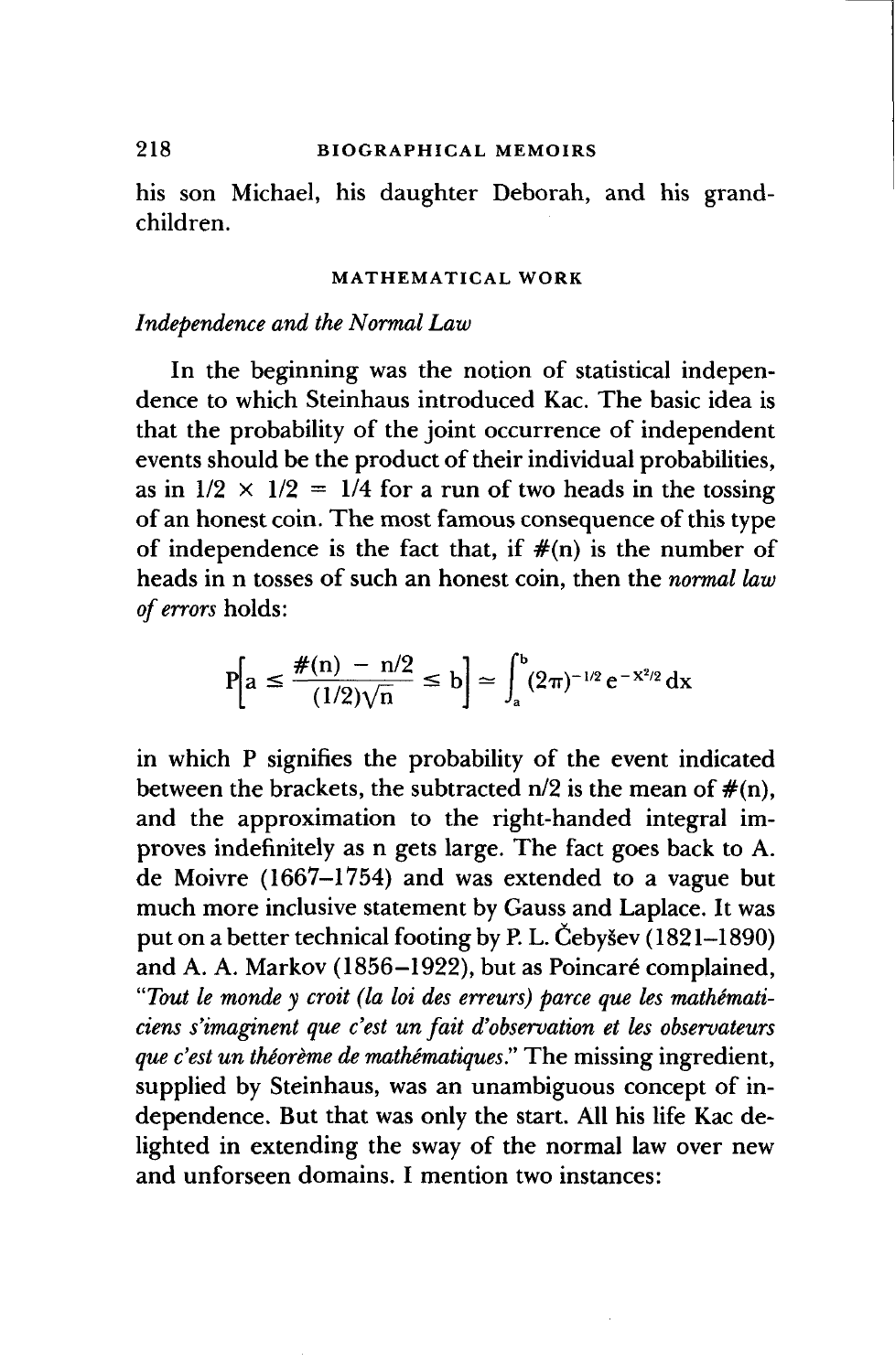# **218 BIOGRAPHICAL MEMOIRS**

his son Michael, his daughter Deborah, and his grandchildren.

#### **MATHEMATICAL WORK**

# *Independence and the Normal Law*

In the beginning was the notion of statistical independence to which Steinhaus introduced Kac. The basic idea is that the probability of the joint occurrence of independent events should be the product of their individual probabilities, as in  $1/2 \times 1/2 = 1/4$  for a run of two heads in the tossing of an honest coin. The most famous consequence of this type of independence is the fact that, if  $\#(n)$  is the number of heads in n tosses of such an honest coin, then the *normal law of errors* holds:

$$
P\left[a \leq \frac{\#(n) - n/2}{(1/2)\sqrt{n}} \leq b\right] \simeq \int_a^b (2\pi)^{-1/2} e^{-x^2/2} dx
$$

in which P signifies the probability of the event indicated between the brackets, the subtracted  $n/2$  is the mean of  $\#(n)$ , and the approximation to the right-handed integral improves indefinitely as n gets large. The fact goes back to A. de Moivre (1667-1754) and was extended to a vague but much more inclusive statement by Gauss and Laplace. It was put on a better technical footing by P. L. Cebysev (1821-1890) and A. A. Markov (1856-1922), but as Poincare complained, *"Tout le monde y croit (la hi des erreurs) parce que les mathimaticiens s'imaginent que c'est un fait d'observation et les observateurs que c'est un the'ore'me de mathematiques"* The missing ingredient, supplied by Steinhaus, was an unambiguous concept of independence. But that was only the start. All his life Kac delighted in extending the sway of the normal law over new and unforseen domains. I mention two instances: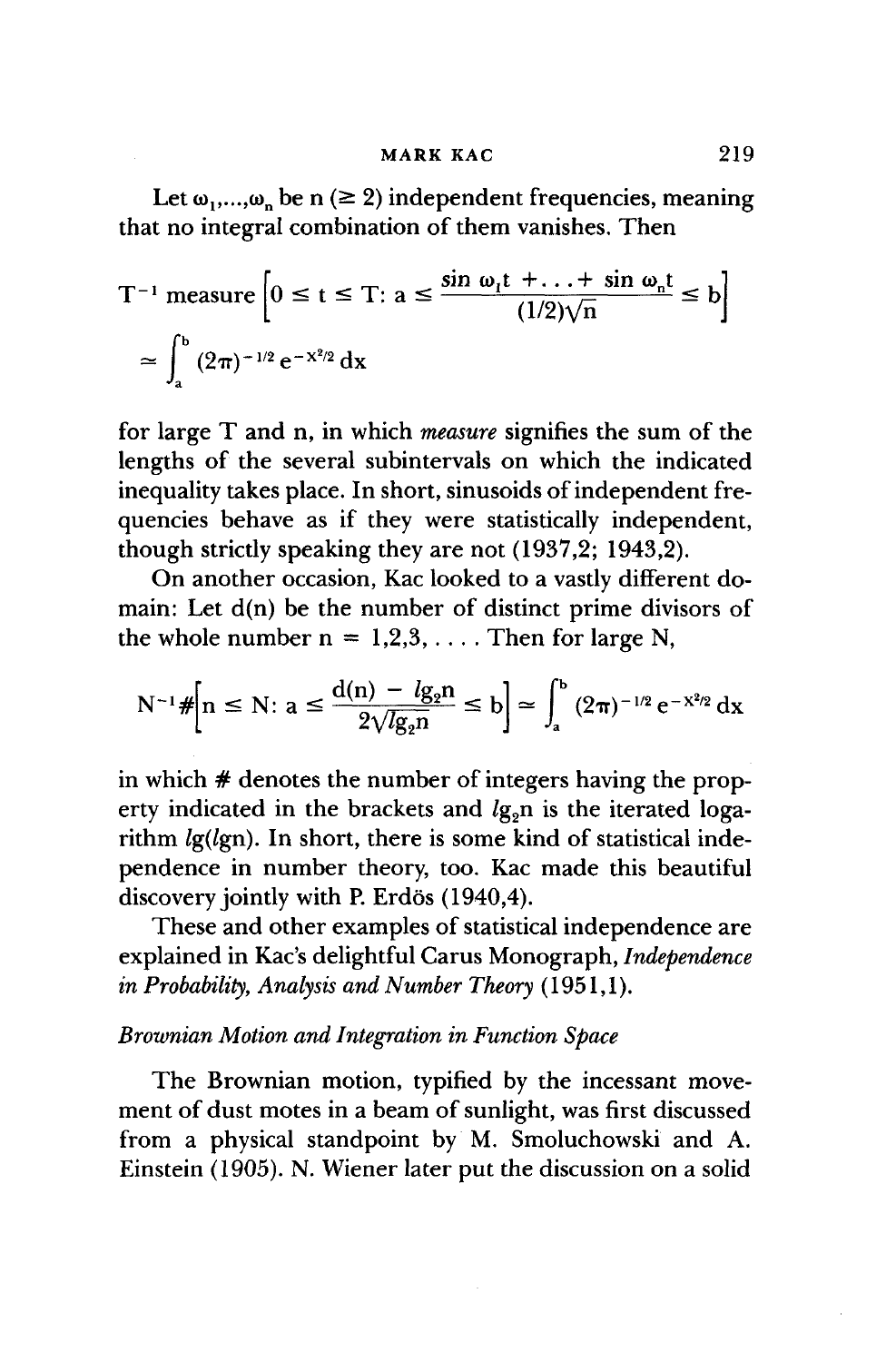Let  $\omega_1,...,\omega_n$  be n ( $\geq 2$ ) independent frequencies, meaning that no integral combination of them vanishes. Then

$$
T^{-1} \text{ measure } \left[0 \le t \le T: a \le \frac{\sin \omega_1 t + \dots + \sin \omega_n t}{(1/2)\sqrt{n}} \le b\right]
$$
  

$$
\approx \int_a^b (2\pi)^{-1/2} e^{-x^2/2} dx
$$

for large T and n, in which *measure* signifies the sum of the lengths of the several subintervals on which the indicated inequality takes place. In short, sinusoids of independent frequencies behave as if they were statistically independent, though strictly speaking they are not (1937,2; 1943,2).

On another occasion, Kac looked to a vastly different domain: Let d(n) be the number of distinct prime divisors of the whole number  $n = 1,2,3,...$  Then for large N,

$$
N^{-1} \# \left[ n \leq N : a \leq \frac{d(n) - \lg_2 n}{2\sqrt{\lg_2 n}} \leq b \right] \simeq \int_a^b (2\pi)^{-1/2} e^{-X^2/2} dx
$$

in which # denotes the number of integers having the property indicated in the brackets and  $lg<sub>o</sub>$ n is the iterated logarithm *lg(lgn).* In short, there is some kind of statistical independence in number theory, too. Kac made this beautiful discovery jointly with P. Erdös (1940,4).

These and other examples of statistical independence are explained in Kac's delightful Carus Monograph, *Independence in Probability, Analysis and Number Theory* (1951,1).

# *Brownian Motion and Integration in Function Space*

The Brownian motion, typified by the incessant movement of dust motes in a beam of sunlight, was first discussed from a physical standpoint by M. Smoluchowski and A. Einstein (1905). N. Wiener later put the discussion on a solid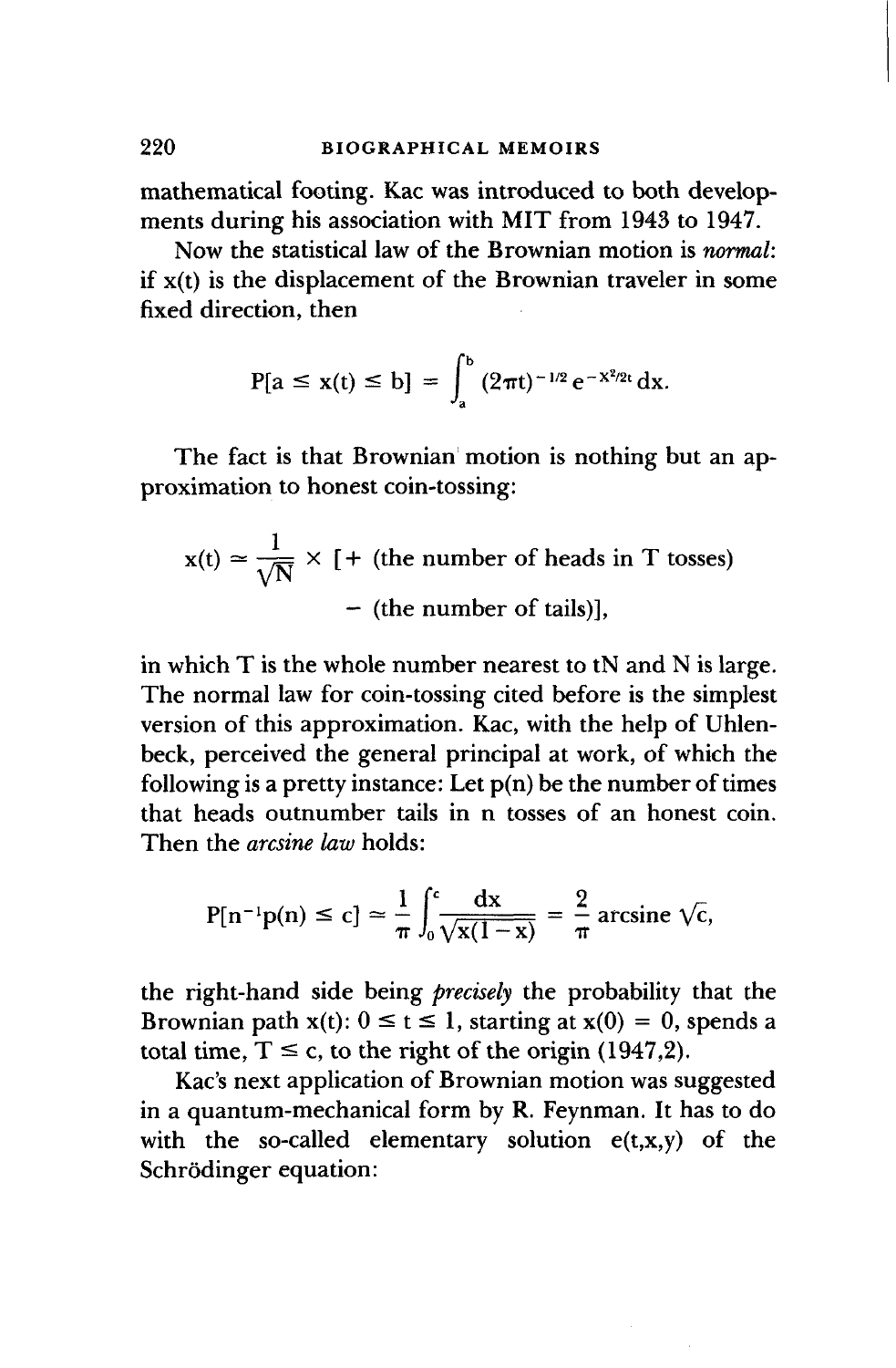mathematical footing. Kac was introduced to both developments during his association with MIT from 1943 to 1947.

Now the statistical law of the Brownian motion is *normal:* if x(t) is the displacement of the Brownian traveler in some fixed direction, then

$$
P[a \le x(t) \le b] = \int_a^b (2\pi t)^{-1/2} e^{-x^2/2t} dx.
$$

The fact is that Brownian motion is nothing but an approximation to honest coin-tossing:

$$
x(t) \approx \frac{1}{\sqrt{N}} \times [ + (the number of heads in T tosses)
$$
  
– (the number of tails)],

in which T is the whole number nearest to tN and N is large. The normal law for coin-tossing cited before is the simplest version of this approximation. Kac, with the help of Uhlenbeck, perceived the general principal at work, of which the following is a pretty instance: Let  $p(n)$  be the number of times that heads outnumber tails in n tosses of an honest coin. Then the *arcsine law* holds:

$$
P[n^{-1}p(n) \le c] \approx \frac{1}{\pi} \int_0^c \frac{dx}{\sqrt{x(1-x)}} = \frac{2}{\pi} \arcsin \sqrt{c},
$$

the right-hand side being *precisely* the probability that the Brownian path  $x(t)$ :  $0 \le t \le 1$ , starting at  $x(0) = 0$ , spends a total time,  $T \le c$ , to the right of the origin (1947,2).

Kac's next application of Brownian motion was suggested in a quantum-mechanical form by R. Feynman. It has to do with the so-called elementary solution  $e(t,x,y)$  of the Schrödinger equation: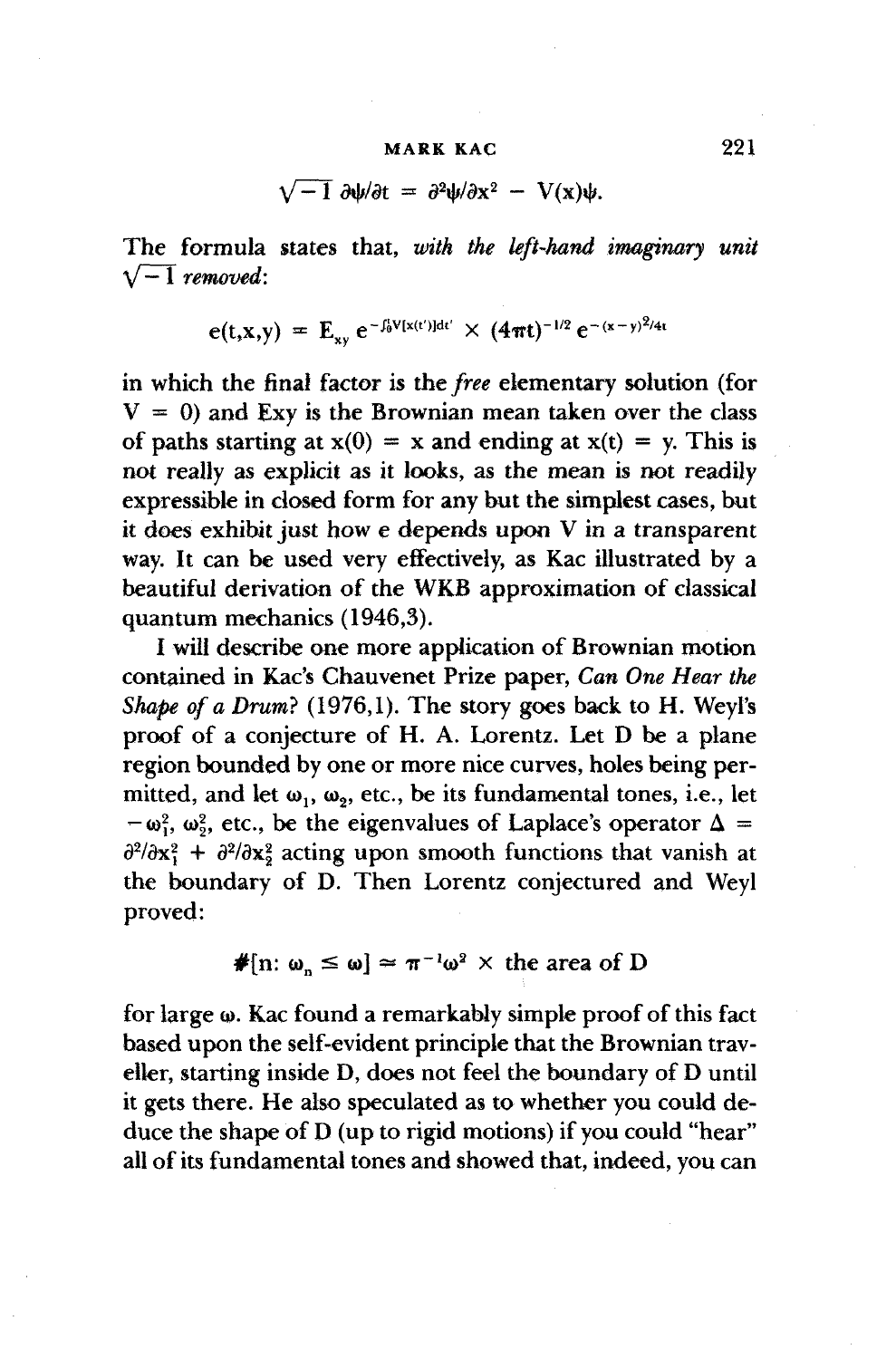$$
\sqrt{-1} \frac{\partial \psi}{\partial t} = \frac{\partial^2 \psi}{\partial x^2} - V(x)\psi.
$$

The formula states that, *with the left-hand imaginary unit*  $\sqrt{-1}$  *removed*:

$$
e(t,x,y) = E_{xy} e^{-\int_0^t V(x(t'))dt'} \times (4\pi t)^{-1/2} e^{-(x-y)^2/4t}
$$

in which the final factor is the *free* elementary solution (for  $V = 0$ ) and Exy is the Brownian mean taken over the class of paths starting at  $x(0) = x$  and ending at  $x(t) = y$ . This is not really as explicit as it looks, as the mean is not readily expressible in closed form for any but the simplest cases, but it does exhibit just how e depends upon V in a transparent way. It can be used very effectively, as Kac illustrated by a beautiful derivation of the WKB approximation of classical quantum mechanics (1946,3).

I will describe one more application of Brownian motion contained in Kac's Chauvenet Prize paper, Can One Hear the *Shape of a Drum}* (1976,1). The story goes back to H. Weyl's proof of a conjecture of H. A. Lorentz. Let D be a plane region bounded by one or more nice curves, holes being permitted, and let  $\omega_1$ ,  $\omega_2$ , etc., be its fundamental tones, i.e., let  $-\omega_1^2$ ,  $\omega_2^2$ , etc., be the eigenvalues of Laplace's operator  $\Delta =$  $\partial^2/\partial x_1^2 + \partial^2/\partial x_2^2$  acting upon smooth functions that vanish at the boundary of D. Then Lorentz conjectured and Weyl proved:

$$
\#[n: \omega_n \leq \omega] \approx \pi^{-1} \omega^2 \times \text{ the area of } D
$$

for large  $\omega$ . Kac found a remarkably simple proof of this fact based upon the self-evident principle that the Brownian traveller, starting inside D, does not feel the boundary of D until it gets there. He also speculated as to whether you could deduce the shape of D (up to rigid motions) if you could "hear" all of its fundamental tones and showed that, indeed, you can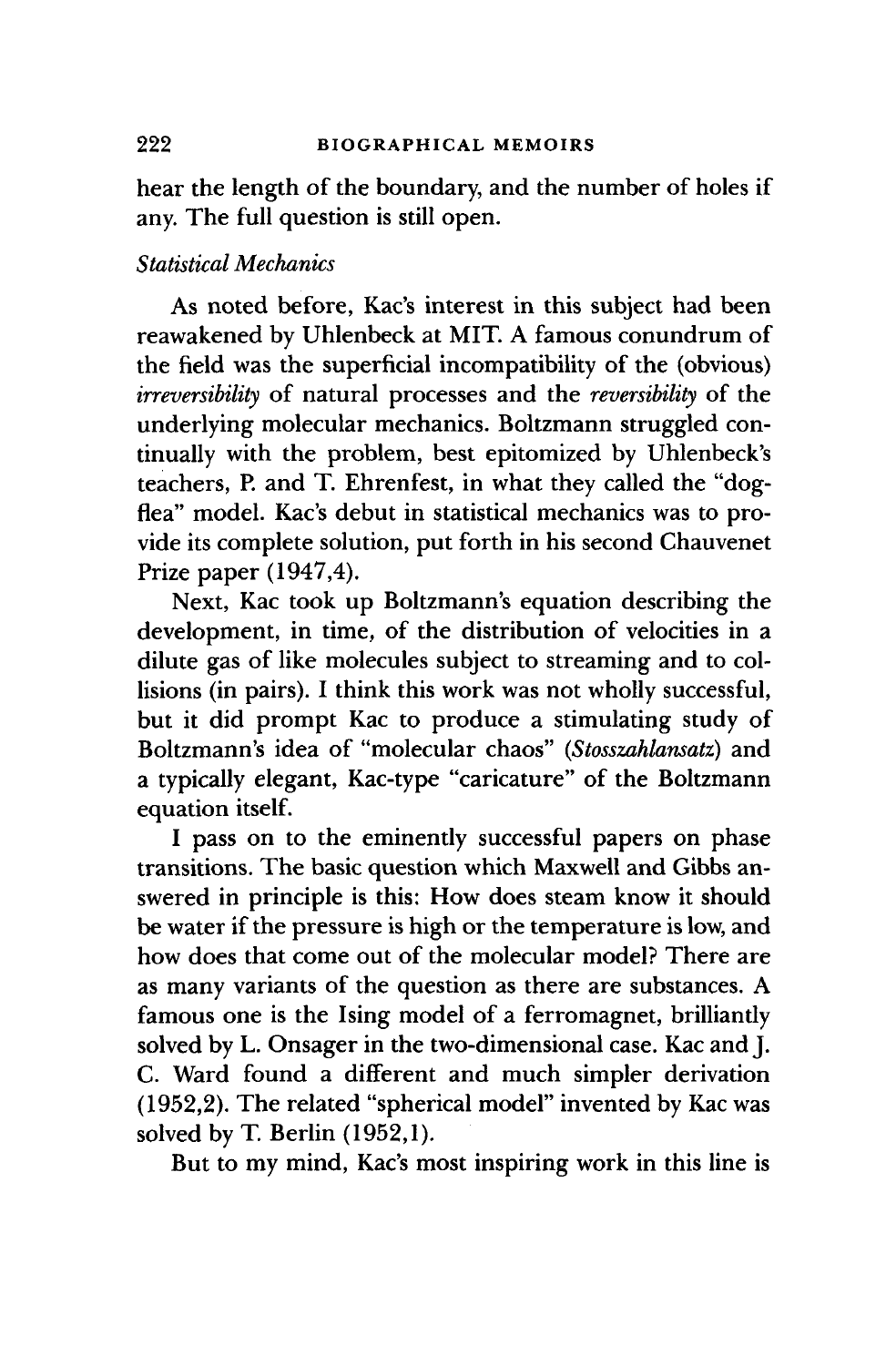hear the length of the boundary, and the number of holes if any. The full question is still open.

# *Statistical Mechanics*

As noted before, Kac's interest in this subject had been reawakened by Uhlenbeck at MIT. A famous conundrum of the field was the superficial incompatibility of the (obvious) *irreversibility* of natural processes and the *reversibility* of the underlying molecular mechanics. Boltzmann struggled continually with the problem, best epitomized by Uhlenbeck's teachers, P. and T. Ehrenfest, in what they called the "dogflea" model. Kac's debut in statistical mechanics was to provide its complete solution, put forth in his second Chauvenet Prize paper (1947,4).

Next, Kac took up Boltzmann's equation describing the development, in time, of the distribution of velocities in a dilute gas of like molecules subject to streaming and to collisions (in pairs). I think this work was not wholly successful, but it did prompt Kac to produce a stimulating study of Boltzmann's idea of "molecular chaos" *(Stosszahlansatz)* and a typically elegant, Kac-type "caricature" of the Boltzmann equation itself.

I pass on to the eminently successful papers on phase transitions. The basic question which Maxwell and Gibbs answered in principle is this: How does steam know it should be water if the pressure is high or the temperature is low, and how does that come out of the molecular model? There are as many variants of the question as there are substances. A famous one is the Ising model of a ferromagnet, brilliantly solved by L. Onsager in the two-dimensional case. Kac and J. C. Ward found a different and much simpler derivation (1952,2). The related "spherical model" invented by Kac was solved by T. Berlin (1952,1).

But to my mind, Kac's most inspiring work in this line is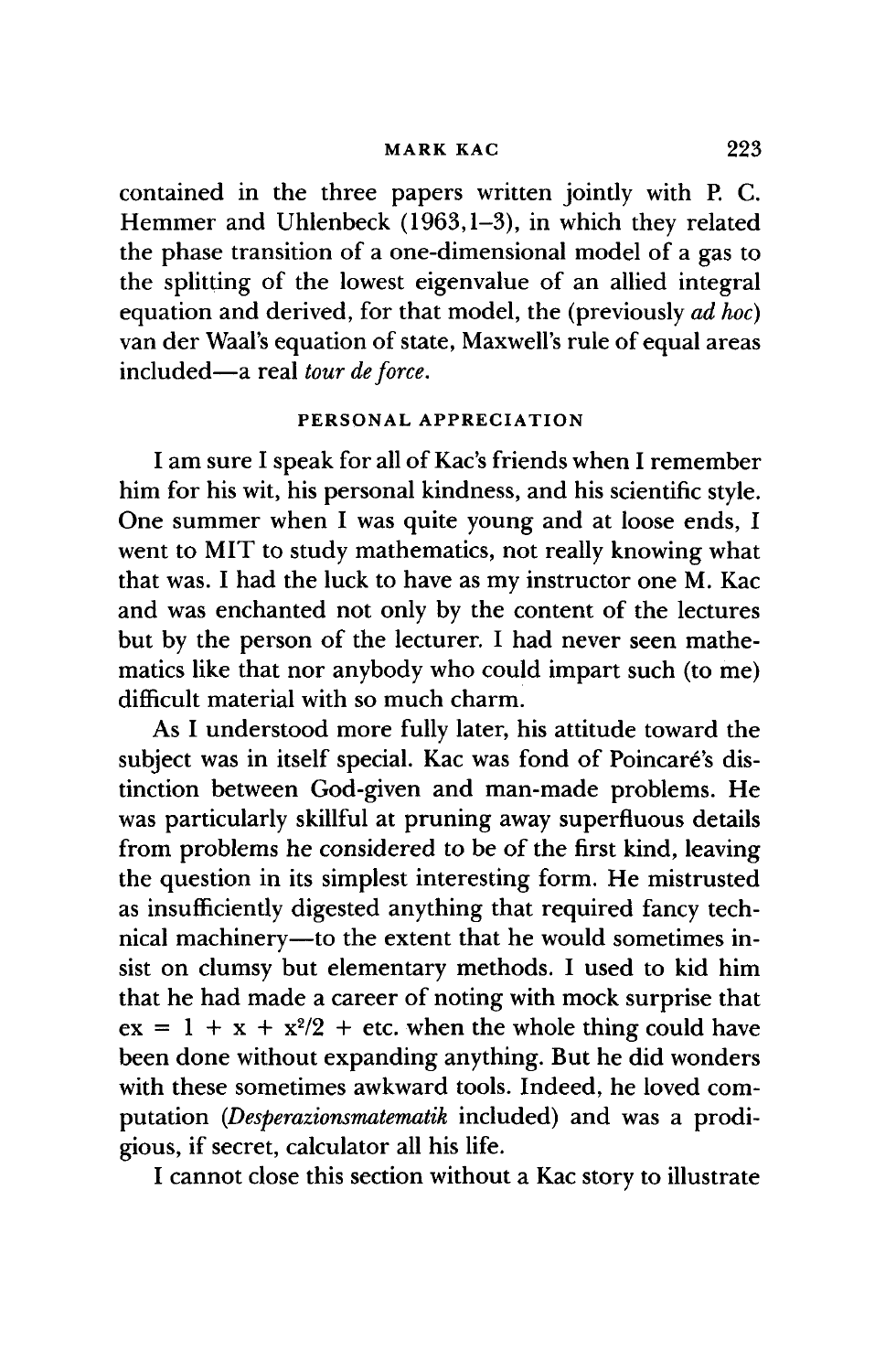contained in the three papers written jointly with P. C. Hemmer and Uhlenbeck (1963,1-3), in which they related the phase transition of a one-dimensional model of a gas to the splitting of the lowest eigenvalue of an allied integral equation and derived, for that model, the (previously *ad hoc)* van der Waal's equation of state, Maxwell's rule of equal areas included—a real *tour deforce.*

# PERSONAL APPRECIATION

I am sure I speak for all of Kac's friends when I remember him for his wit, his personal kindness, and his scientific style. One summer when I was quite young and at loose ends, I went to MIT to study mathematics, not really knowing what that was. I had the luck to have as my instructor one M. Kac and was enchanted not only by the content of the lectures but by the person of the lecturer. I had never seen mathematics like that nor anybody who could impart such (to me) difficult material with so much charm.

As I understood more fully later, his attitude toward the subject was in itself special. Kac was fond of Poincare's distinction between God-given and man-made problems. He was particularly skillful at pruning away superfluous details from problems he considered to be of the first kind, leaving the question in its simplest interesting form. He mistrusted as insufficiently digested anything that required fancy technical machinery—to the extent that he would sometimes insist on clumsy but elementary methods. I used to kid him that he had made a career of noting with mock surprise that  $ex = 1 + x + x^2/2 + etc.$  when the whole thing could have been done without expanding anything. But he did wonders with these sometimes awkward tools. Indeed, he loved computation *(Desperazionsmatematik* included) and was a prodigious, if secret, calculator all his life.

I cannot close this section without a Kac story to illustrate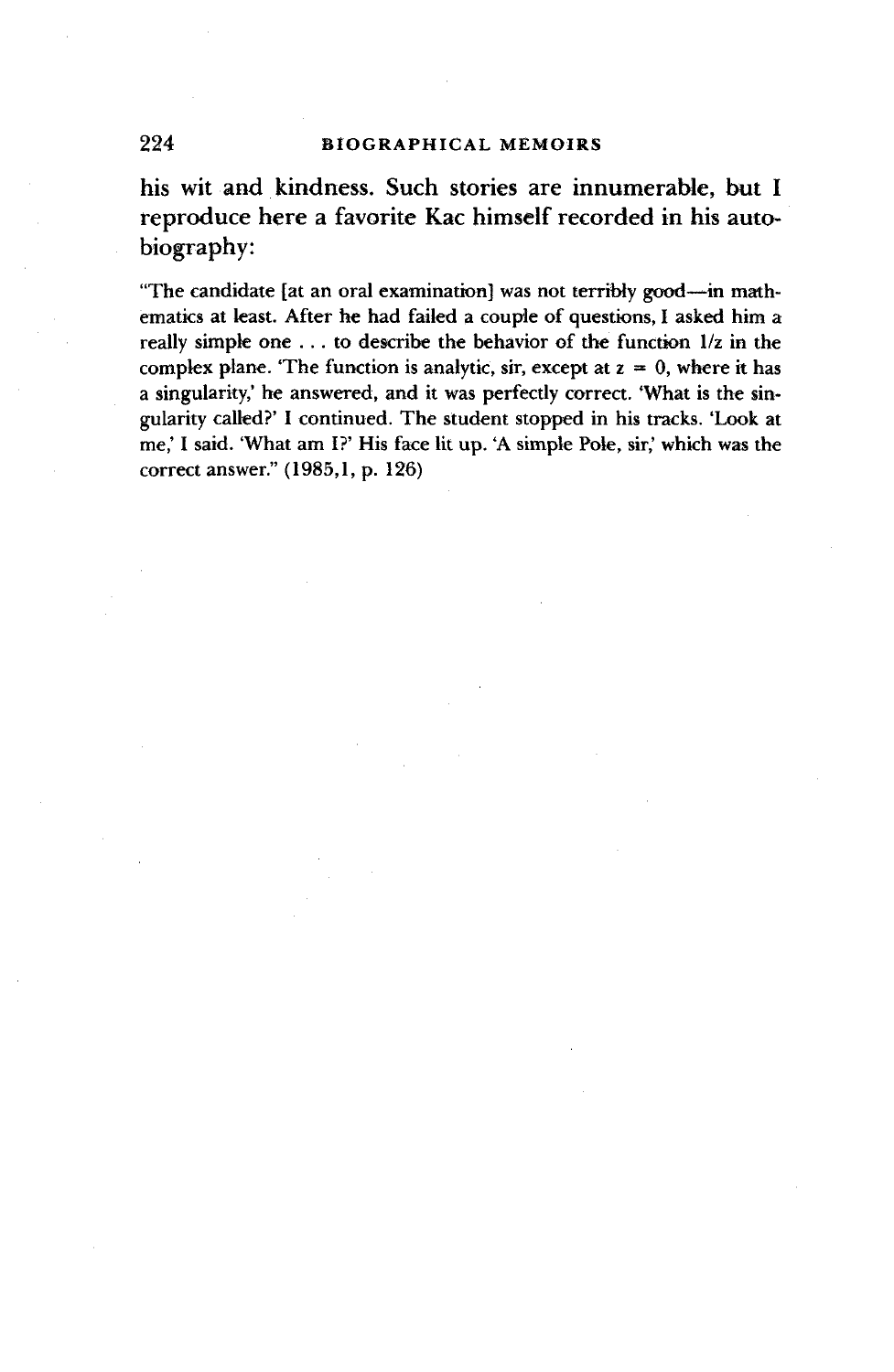# 224 BIOGRAPHICAL MEMOIRS

his wit and kindness. Such stories are innumerable, but I reproduce here a favorite Kac himself recorded in his autobiography:

"The candidate {at an oral examination] was not terribly good-—in mathematics at least. After he had failed a couple of questions, I asked him a really simpk one .. . to describe the behavior of the function 1/z in the complex plane. 'The function is analytic, sir, except at  $z = 0$ , where it has a singularity,' he answered, and it was perfectly correct. 'What is the singularity called?' I continued. The student stopped in his tracks. 'Look at me,' I said. 'What am I?' His face lit up. 'A simpk Pole, sir,' which was the correct answer." (1985,1, p. 126)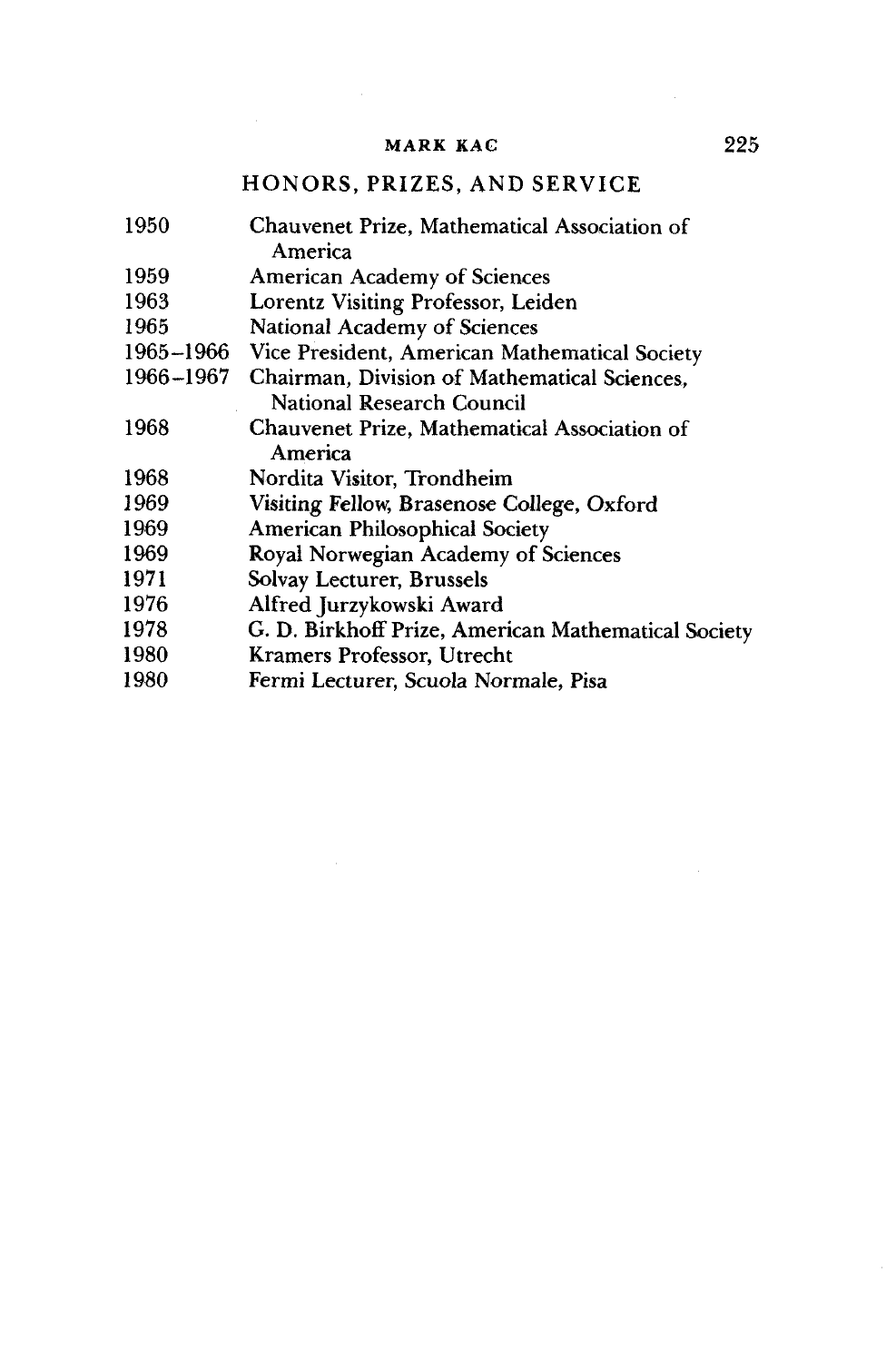# HONORS, PRIZES, AND SERVICE

| 1950      | Chauvenet Prize, Mathematical Association of        |
|-----------|-----------------------------------------------------|
|           | America                                             |
| 1959      | <b>American Academy of Sciences</b>                 |
| 1963      | Lorentz Visiting Professor, Leiden                  |
| 1965      | National Academy of Sciences                        |
| 1965–1966 | Vice President, American Mathematical Society       |
| 1966–1967 | Chairman, Division of Mathematical Sciences,        |
|           | National Research Council                           |
| 1968      | Chauvenet Prize, Mathematical Association of        |
|           | America                                             |
| 1968      | Nordita Visitor, Trondheim                          |
| 1969      | Visiting Fellow, Brasenose College, Oxford          |
| 1969      | <b>American Philosophical Society</b>               |
| 1969      | Royal Norwegian Academy of Sciences                 |
| 1971      | Solvay Lecturer, Brussels                           |
| 1976      | Alfred Jurzykowski Award                            |
| 1978      | G. D. Birkhoff Prize, American Mathematical Society |
| 1980      | Kramers Professor, Utrecht                          |
| 1980      | Fermi Lecturer, Scuola Normale, Pisa                |
|           |                                                     |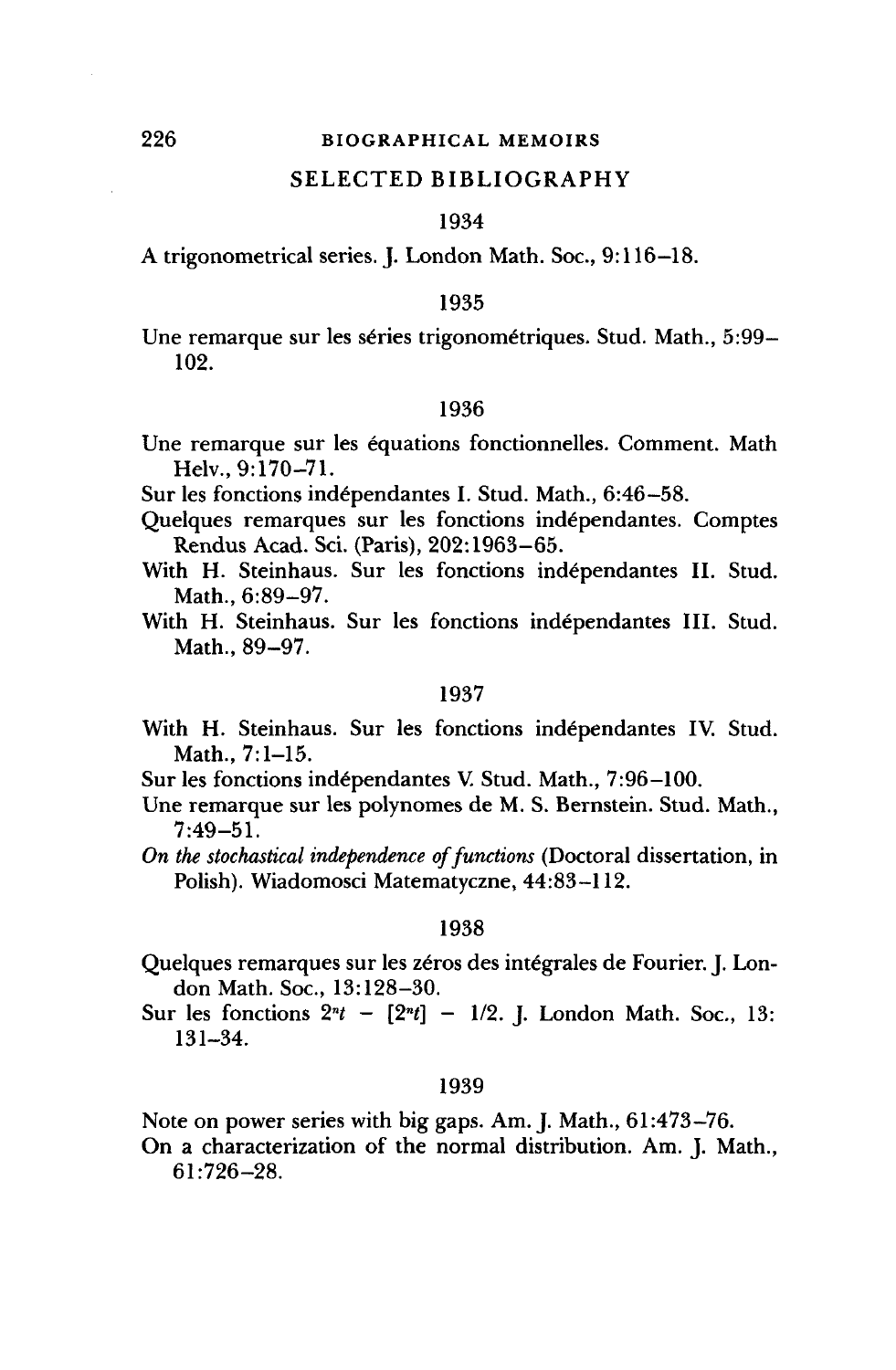#### SELECTED BIBLIOGRAPHY

#### 1934

A trigonometrical series. J. London Math. Soc, 9:116-18.

#### 1935

Une remarque sur les séries trigonométriques. Stud. Math., 5:99-102.

## 1936

Une remarque sur les equations fonctionnelles. Comment. Math Helv., 9:170-71.

Sur les fonctions independantes I. Stud. Math., 6:46-58.

- Quelques remarques sur les fonctions independantes. Comptes Rendus Acad. Sci. (Paris), 202:1963-65.
- With H. Steinhaus. Sur les fonctions independantes II. Stud. Math., 6:89-97.

With H. Steinhaus. Sur les fonctions independantes III. Stud. Math., 89-97.

#### 1937

- With H. Steinhaus. Sur les fonctions independantes IV. Stud. Math., 7:1-15.
- Sur les fonctions independantes V. Stud. Math., 7:96-100.
- Une remarque sur les polynomes de M. S. Bernstein. Stud. Math., 7:49-51.
- *On the stochastical independence of functions* (Doctoral dissertation, in Polish). Wiadomosci Matematyczne, 44:83-112.

#### 1938

- Quelques remarques sur les zéros des intégrales de Fourier. J. London Math. Soc, 13:128-30.
- Sur les fonctions *2<sup>n</sup> t [2<sup>n</sup> t] -* 1/2. J. London Math. Soc, 13: 131-34.

#### 1939

Note on power series with big gaps. Am. J. Math., 61:473-76.

On a characterization of the normal distribution. Am. J. Math., 61:726-28.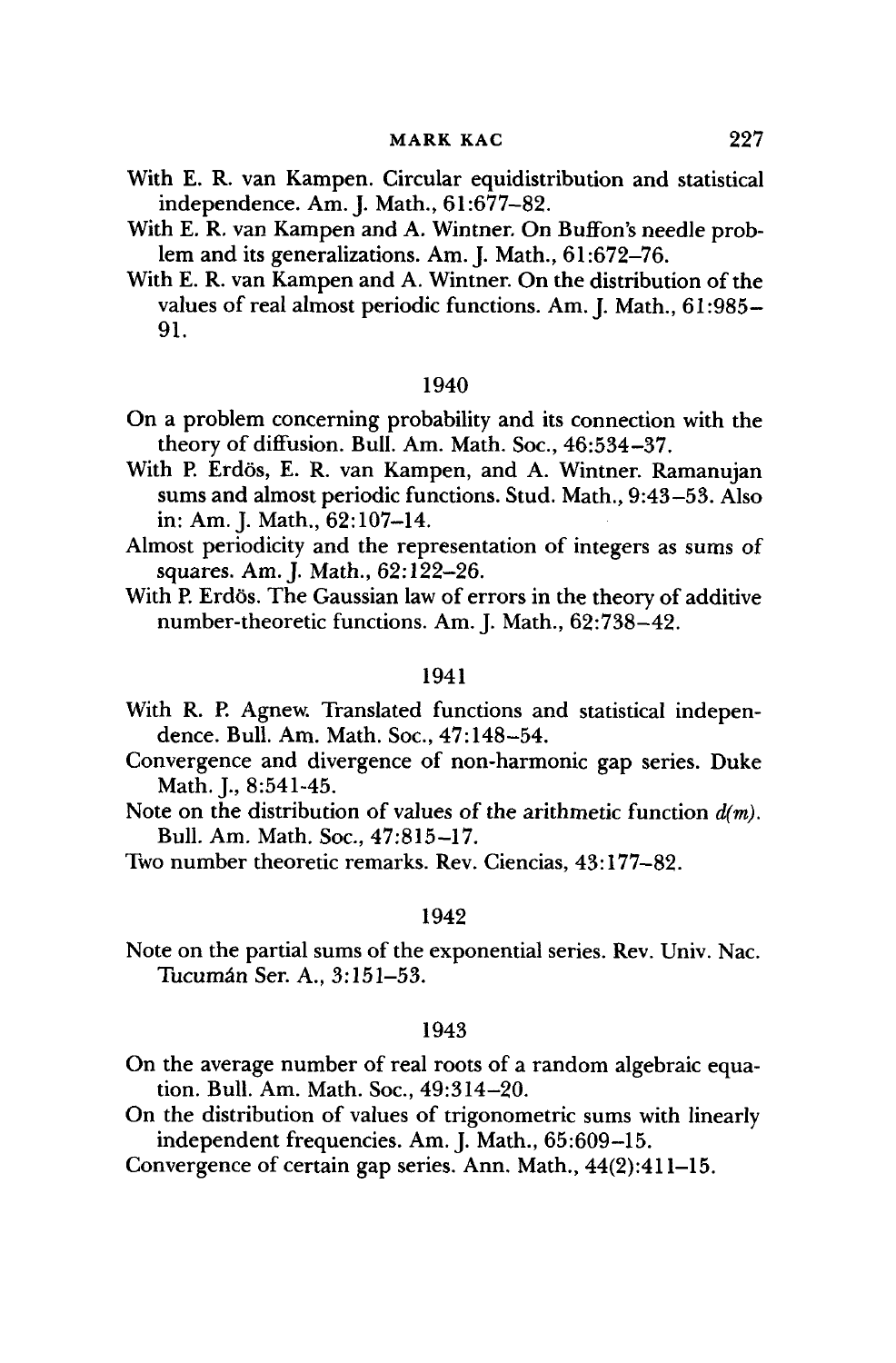- With E. R. van Kampen. Circular equidistribution and statistical independence. Am. J. Math., 61:677-82.
- With E. R. van Kampen and A. Wintner. On Buffon's needle problem and its generalizations. Am. J. Math., 61:672-76.
- With E. R. van Kampen and A. Wintner. On the distribution of the values of real almost periodic functions. Am. J. Math., 61:985- 91.

- On a problem concerning probability and its connection with the theory of diffusion. Bull. Am. Math. Soc, 46:534-37.
- With P. Erdös, E. R. van Kampen, and A. Wintner. Ramanujan sums and almost periodic functions. Stud. Math., 9:43-53. Also in: Am. J. Math., 62:107-14.
- Almost periodicity and the representation of integers as sums of squares. Am. J. Math., 62:122-26.
- With P. Erdös. The Gaussian law of errors in the theory of additive number-theoretic functions. Am. J. Math., 62:738-42.

#### 1941

- With R. P. Agnew. Translated functions and statistical independence. Bull. Am. Math. Soc, 47:148-54.
- Convergence and divergence of non-harmonic gap series. Duke Math. I., 8:541-45.
- Note on the distribution of values of the arithmetic function *d(m).* Bull. Am. Math. Soc, 47:815-17.
- Two number theoretic remarks. Rev. Ciencias, 43:177-82.

#### 1942

Note on the partial sums of the exponential series. Rev. Univ. Nac Tucuman Ser. A., 3:151-53.

#### 1943

- On the average number of real roots of a random algebraic equation. Bull. Am. Math. Soc, 49:314-20.
- On the distribution of values of trigonometric sums with linearly independent frequencies. Am. J. Math., 65:609-15.
- Convergence of certain gap series. Ann. Math., 44(2):411-15.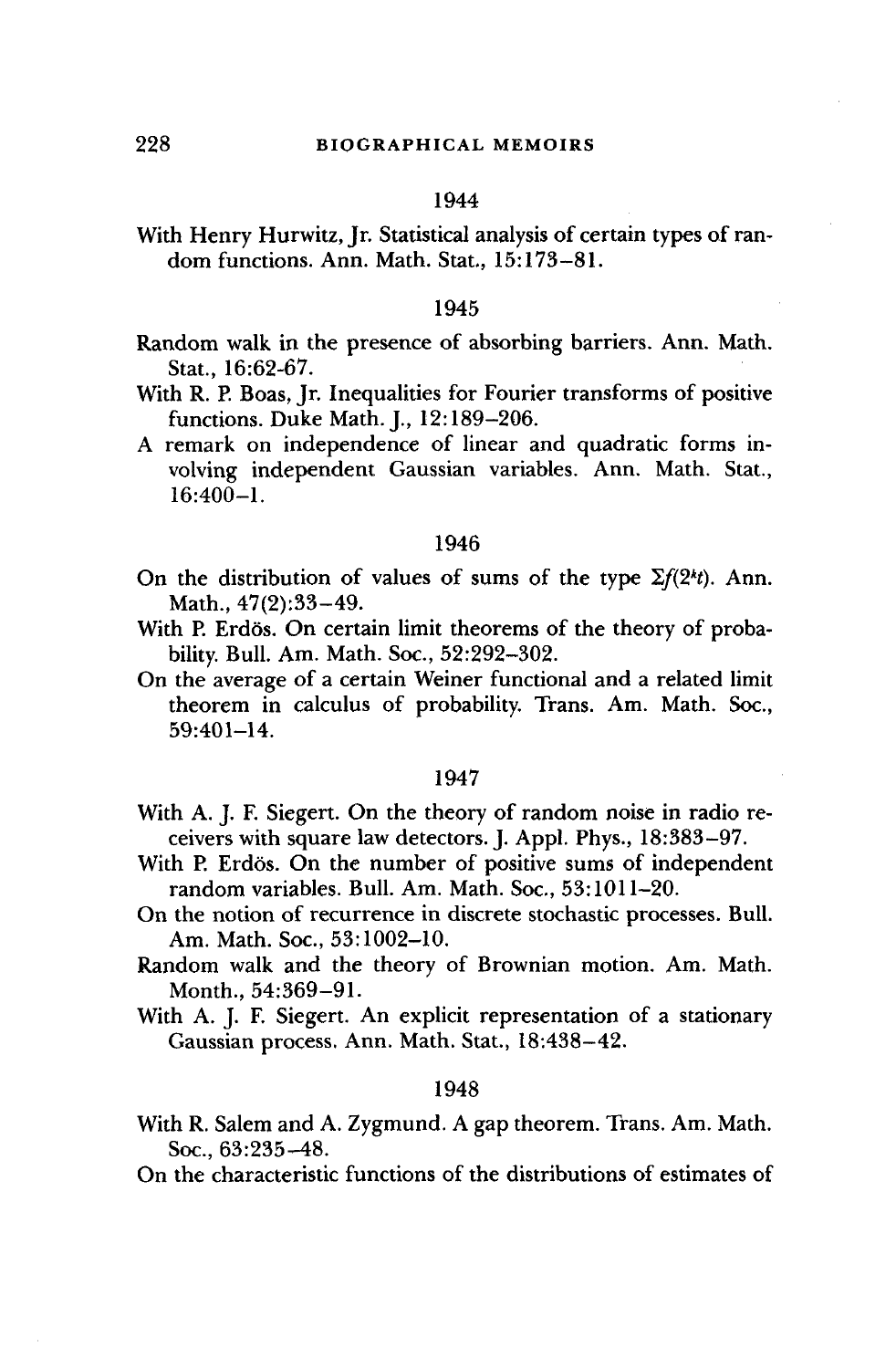With Henry Hurwitz, Jr. Statistical analysis of certain types of random functions. Ann. Math. Stat., 15:173-81.

#### 1945

- Random walk in the presence of absorbing barriers. Ann. Math. Stat., 16:62-67.
- With R. P. Boas, Jr. Inequalities for Fourier transforms of positive functions. Duke Math. J., 12:189-206.
- A remark on independence of linear and quadratic forms involving independent Gaussian variables. Ann. Math. Stat., 16:400-1.

## 1946

- On the distribution of values of sums of the type  $\Sigma f(2^k t)$ . Ann. Math., 47(2):33-49.
- With P. Erdös. On certain limit theorems of the theory of probability. Bull. Am. Math. Soc., 52:292-302.
- On the average of a certain Weiner functional and a related limit theorem in calculus of probability. Trans. Am. Math. Soc., 59:401-14.

#### 1947

- With A. J. F. Siegert. On the theory of random noise in radio receivers with square law detectors. J. Appl. Phys., 18:383-97.
- With P. Erdös. On the number of positive sums of independent random variables. Bull. Am. Math. Soc., 53:1011-20.
- On the notion of recurrence in discrete stochastic processes. Bull. Am. Math. Soc, 53:1002-10.
- Random walk and the theory of Brownian motion. Am. Math. Month., 54:369-91.
- With A. J. F. Siegert. An explicit representation of a stationary Gaussian process. Ann. Math. Stat., 18:438-42.

#### 1948

With R. Salem and A. Zygmund. A gap theorem. Trans. Am. Math. Soc., 63:235-48.

On the characteristic functions of the distributions of estimates of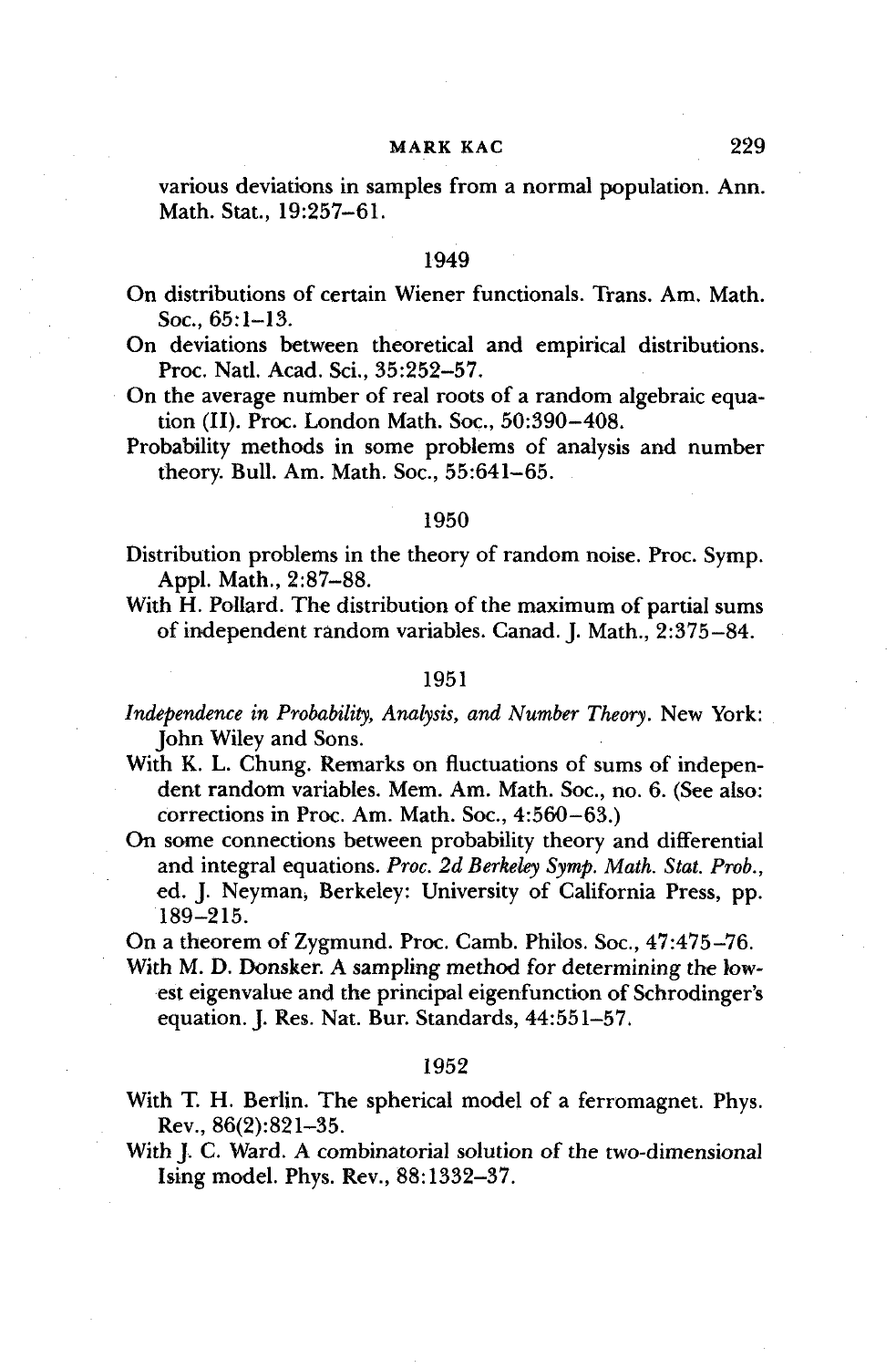various deviations in samples from a normal population. Ann. Math. Stat., 19:257-61.

#### 1949

- On distributions of certain Wiener functionals. Trans. Am. Math. Soc, 65:1-13.
- On deviations between theoretical and empirical distributions. Proc. Natl. Acad. Sci., 35:252-57.
- On the average number of real roots of a random algebraic equation (II). Proc. London Math. Soc., 50:390-408.
- Probability methods in some problems of analysis and number theory. Bull. Am. Math. Soc, 55:641-65.

#### 1950

- Distribution problems in the theory of random noise. Proc. Symp. Appl. Math., 2:87-88.
- With H. Pollard. The distribution of the maximum of partial sums of independent random variables. Canad. J. Math., 2:375-84.

#### 1951

- *Independence in Probability, Analysis, and Number Theory.* New York: John Wiley and Sons.
- With K. L. Chung. Remarks on fluctuations of sums of independent random variables. Mem. Am. Math. Soc, no. 6. (See also: corrections in Proc. Am. Math. Soc, 4:560-63.)
- On some connections between probability theory and differential and integral equations. *Proc. 2d Berkeley Symp. Math. Stat. Prob.,* ed. J. Neyman, Berkeley: University of California Press, pp. 189-215.

On a theorem of Zygmund. Proc. Camb. Philos. Soc, 47:475-76.

With M. D. Donsker. A sampling method for determining the lowest eigenvalue and the principal eigenfunction of Schrodinger's equation. J. Res. Nat. Bur. Standards, 44:551-57.

#### 1952

- With T. H. Berlin. The spherical model of a ferromagnet. Phys. Rev., 86(2):821-35.
- With J. C. Ward. A combinatorial solution of the two-dimensional Ising model. Phys. Rev., 88:1332-37.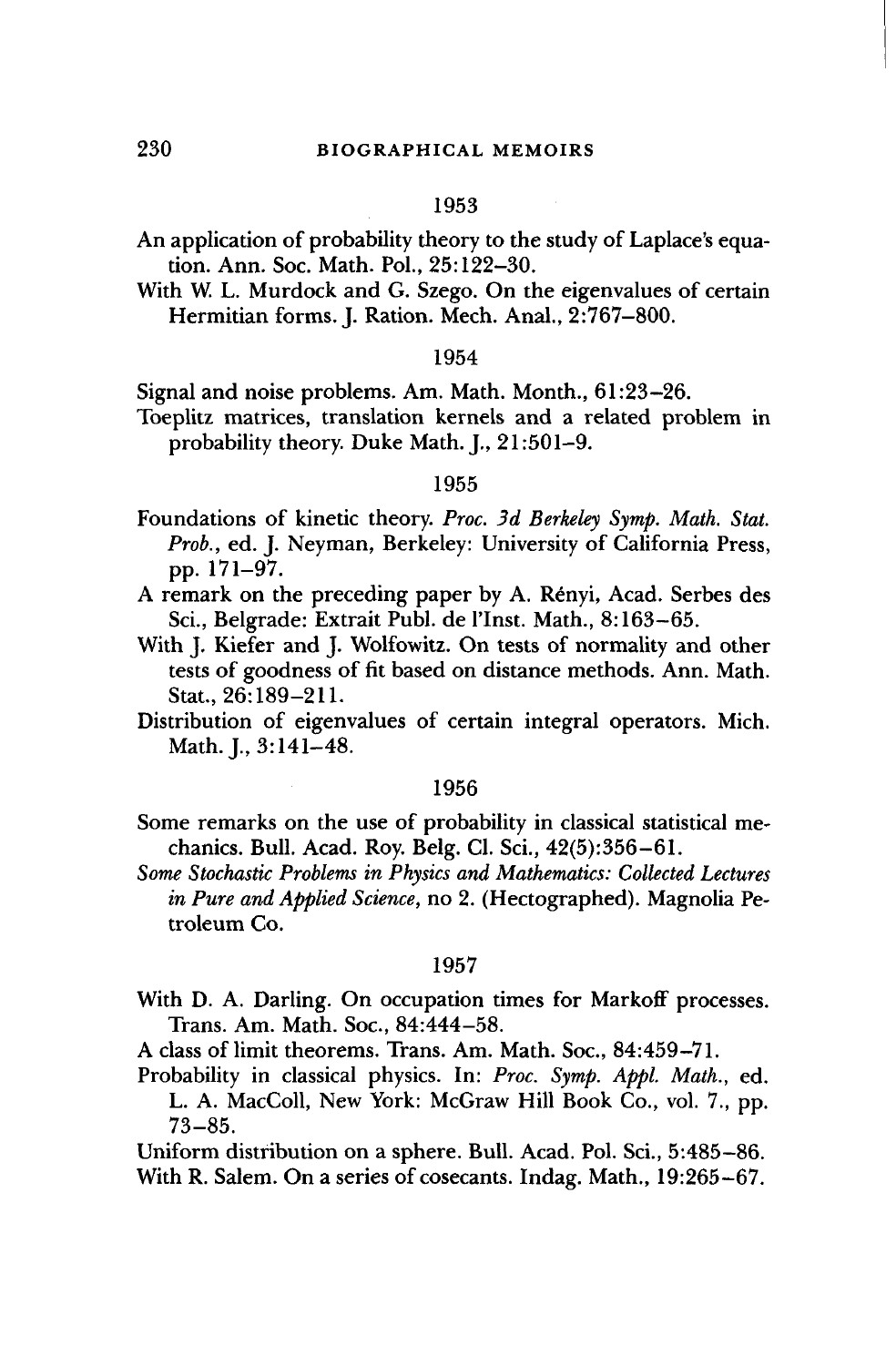- An application of probability theory to the study of Laplace's equation. Ann. Soc. Math. Pol., 25:122-30.
- With W. L. Murdock and G. Szego. On the eigenvalues of certain Hermitian forms. J. Ration. Mech. Anal., 2:767-800.

#### 1954

Signal and noise problems. Am. Math. Month., 61:23-26.

Toeplitz matrices, translation kernels and a related problem in probability theory. Duke Math. J., 21:501-9.

#### 1955

- Foundations of kinetic theory. *Proc. 3d Berkeley Symp. Math. Stat. Prob.,* ed. J. Neyman, Berkeley: University of California Press, pp. 171-97.
- A remark on the preceding paper by A. Renyi, Acad. Serbes des Sci., Belgrade: Extrait Publ. de l'lnst. Math., 8:163-65.
- With J. Kiefer and J. Wolfowitz. On tests of normality and other tests of goodness of fit based on distance methods. Ann. Math. Stat., 26:189-211.
- Distribution of eigenvalues of certain integral operators. Mich. Math. J., 3:141-48.

#### 1956

- Some remarks on the use of probability in classical statistical mechanics. Bull. Acad. Roy. Belg. Cl. Sci., 42(5):356-61.
- *Some Stochastic Problems in Physics and Mathematics: Collected Lectures in Pure and Applied Science,* no 2. (Hectographed). Magnolia Petroleum Co.

#### 1957

- With D. A. Darling. On occupation times for Markoff processes. Trans. Am. Math. Soc, 84:444-58.
- A class of limit theorems. Trans. Am. Math. Soc, 84:459-71.
- Probability in classical physics. In: *Proc. Symp. Appl. Math.,* ed. L. A. MacColl, New York: McGraw Hill Book Co., vol. 7., pp.

73-85.

Uniform distribution on a sphere. Bull. Acad. Pol. Sci., 5:485-86. With R. Salem. On a series of cosecants. Indag. Math., 19:265-67.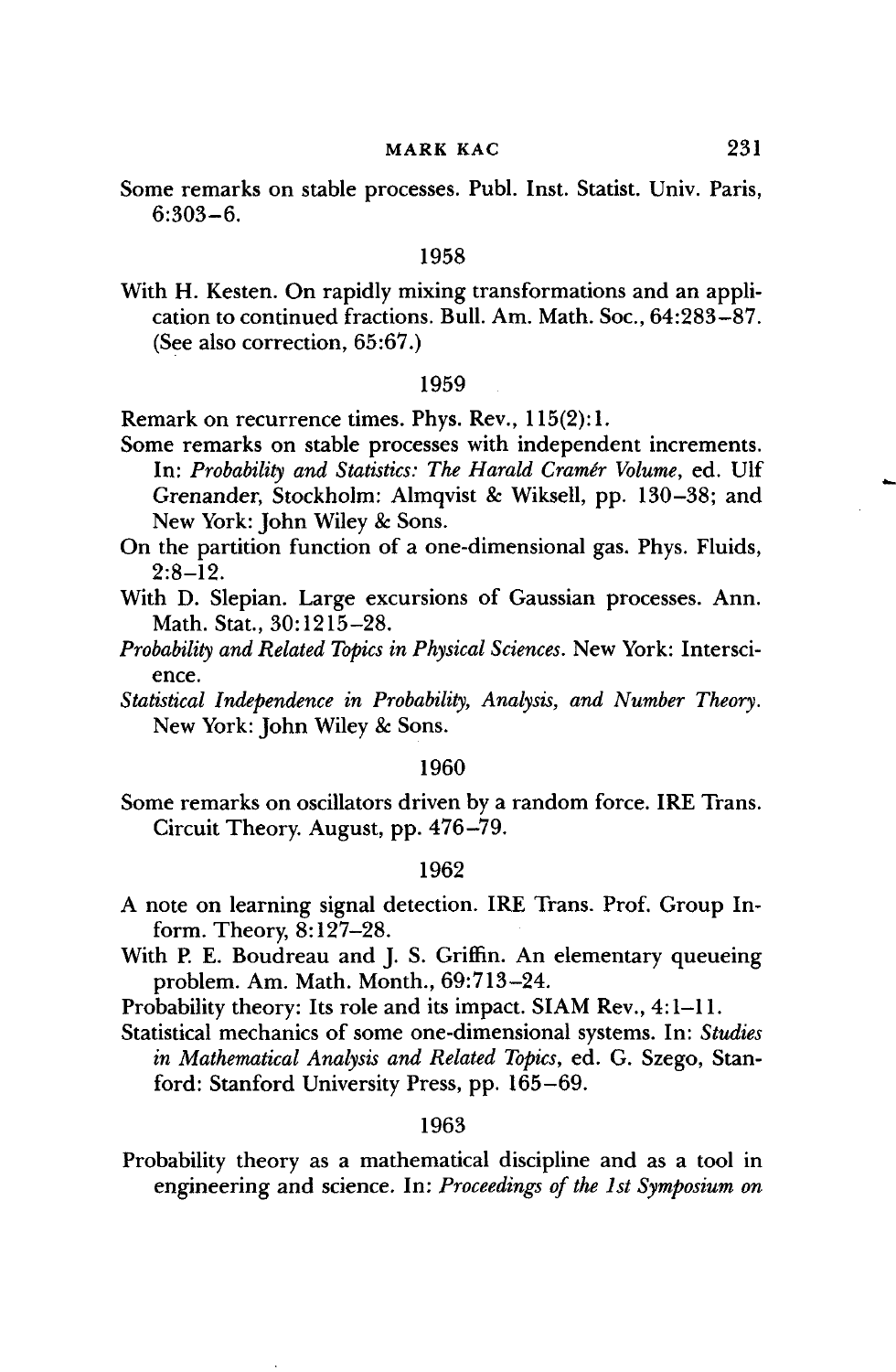Some remarks on stable processes. Publ. Inst. Statist. Univ. Paris, 6:303-6.

#### 1958

With H. Kesten. On rapidly mixing transformations and an application to continued fractions. Bull. Am. Math. Soc, 64:283-87. (See also correction, 65:67.)

#### 1959

Remark on recurrence times. Phys. Rev., 115(2): 1.

- Some remarks on stable processes with independent increments. In: *Probability and Statistics: The Harald Cramer Volume,* ed. Ulf Grenander, Stockholm: Almqvist & Wiksell, pp. 130-38; and New York: John Wiley & Sons.
- On the partition function of a one-dimensional gas. Phys. Fluids,  $2:8-12.$
- With D. Slepian. Large excursions of Gaussian processes. Ann. Math. Stat., 30:1215-28.
- *Probability and Related Topics in Physical Sciences.* New York: Interscience.
- *Statistical Independence in Probability, Analysis, and Number Theory.* New York: John Wiley & Sons.

#### 1960

Some remarks on oscillators driven by a random force. IRE Trans. Circuit Theory. August, pp. 476-79.

#### 1962

- A note on learning signal detection. IRE Trans. Prof. Group Inform. Theory, 8:127-28.
- With P. E. Boudreau and J. S. Griffin. An elementary queueing problem. Am. Math. Month., 69:713-24.
- Probability theory: Its role and its impact. SIAM Rev., 4:1-11.
- Statistical mechanics of some one-dimensional systems. In: *Studies in Mathematical Analysis and Related Topics,* ed. G. Szego, Stanford: Stanford University Press, pp. 165-69.

#### 1963

Probability theory as a mathematical discipline and as a tool in engineering and science. In: *Proceedings of the 1st Symposium on*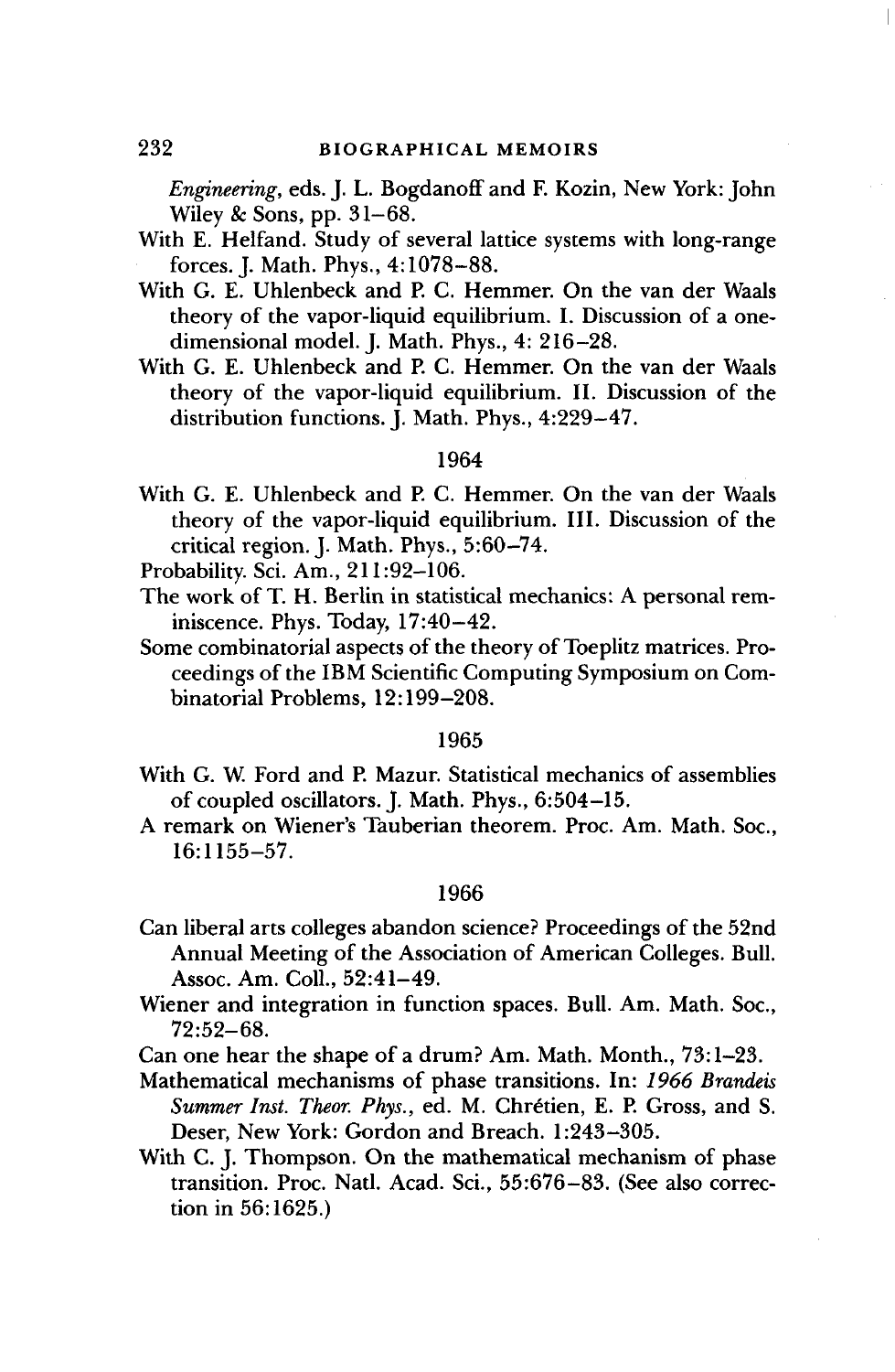*Engineering,* eds. J. L. Bogdanoff and F. Kozin, New York: John Wiley & Sons, pp. 31-68.

- With E. Helfand. Study of several lattice systems with long-range forces. J. Math. Phys., 4:1078-88.
- With G. E. Uhlenbeck and P. C. Hemmer. On the van der Waals theory of the vapor-liquid equilibrium. I. Discussion of a onedimensional model. J. Math. Phys., 4: 216-28.
- With G. E. Uhlenbeck and P. C. Hemmer. On the van der Waals theory of the vapor-liquid equilibrium. II. Discussion of the distribution functions. J. Math. Phys., 4:229-47.

## 1964

- With G. E. Uhlenbeck and P. C. Hemmer. On the van der Waals theory of the vapor-liquid equilibrium. III. Discussion of the critical region. J. Math. Phys., 5:60-74.
- Probability. Sci. Am., 211:92-106.
- The work of T. H. Berlin in statistical mechanics: A personal reminiscence. Phys. Today, 17:40-42.
- Some combinatorial aspects of the theory of Toeplitz matrices. Proceedings of the IBM Scientific Computing Symposium on Combinatorial Problems, 12:199-208.

# 1965

- With G. W. Ford and P. Mazur. Statistical mechanics of assemblies of coupled oscillators. J. Math. Phys., 6:504-15.
- A remark on Wiener's Tauberian theorem. Proc. Am. Math. Soc, 16:1155-57.

#### 1966

- Can liberal arts colleges abandon science? Proceedings of the 52nd Annual Meeting of the Association of American Colleges. Bull. Assoc. Am. Coll., 52:41-49.
- Wiener and integration in function spaces. Bull. Am. Math. Soc, 72:52-68.

Can one hear the shape of a drum? Am. Math. Month., 73:1-23.

- Mathematical mechanisms of phase transitions. In: *1966 Brandeis Summer Inst. Theor. Phys.,* ed. M. Chretien, E. P. Gross, and S. Deser, New York: Gordon and Breach. 1:243-305.
- With C. J. Thompson. On the mathematical mechanism of phase transition. Proc. Natl. Acad. Sci., 55:676-83. (See also correction in 56:1625.)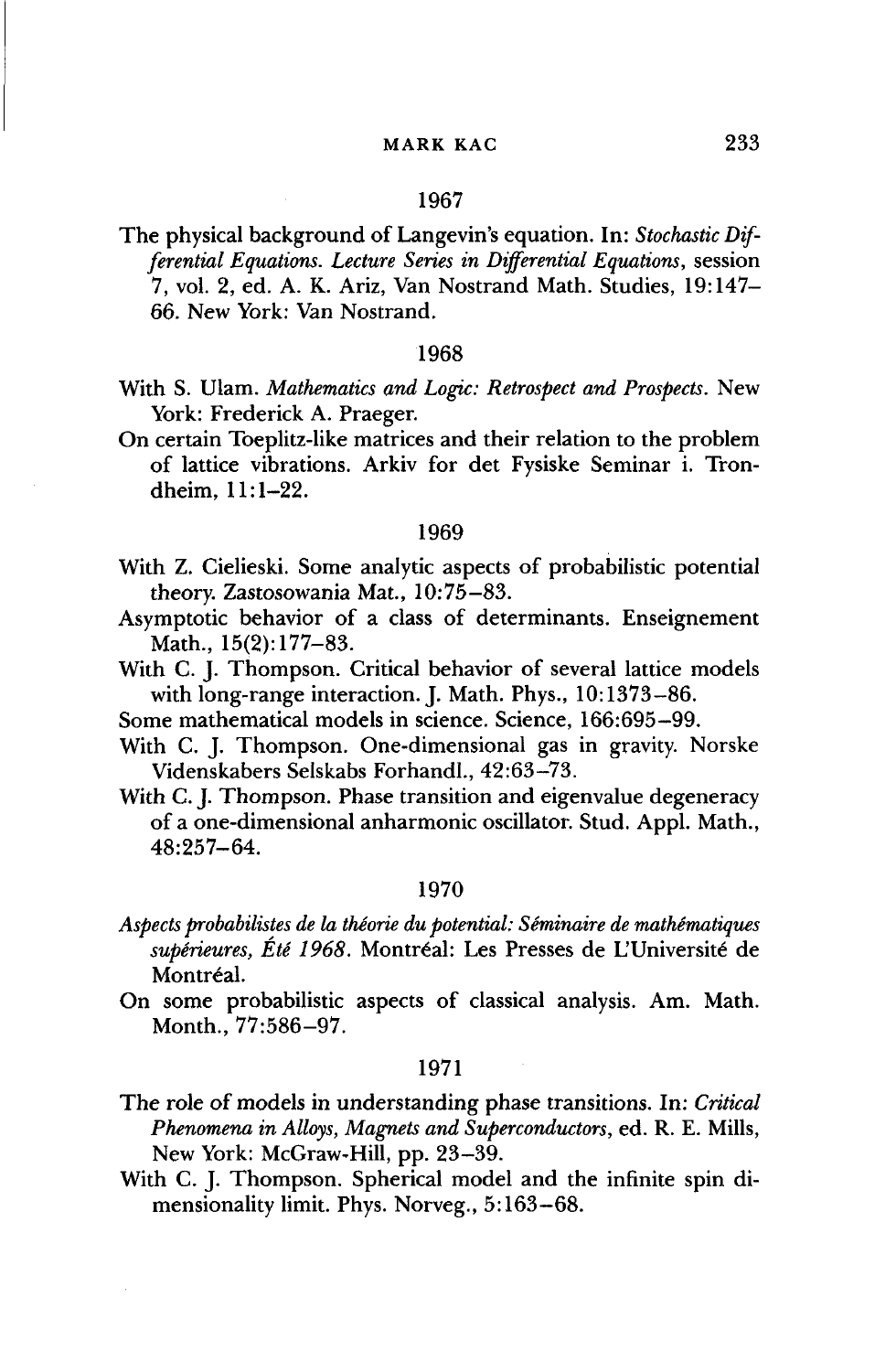The physical background of Langevin's equation. In: *Stochastic Differential Equations. Lecture Series in Differential Equations,* session 7, vol. 2, ed. A. K. Ariz, Van Nostrand Math. Studies, 19:147- 66. New York: Van Nostrand.

#### 1968

- With S. Ulam. *Mathematics and Logic: Retrospect and Prospects.* New York: Frederick A. Praeger.
- On certain Toeplitz-like matrices and their relation to the problem of lattice vibrations. Arkiv for det Fysiske Seminar i. Trondheim, 11:1-22.

#### 1969

- With Z. Cielieski. Some analytic aspects of probabilistic potential theory. Zastosowania Mat., 10:75-83.
- Asymptotic behavior of a class of determinants. Enseignement Math., 15(2):177-83.
- With C. J. Thompson. Critical behavior of several lattice models with long-range interaction. J. Math. Phys., 10:1373-86.
- Some mathematical models in science. Science, 166:695-99.
- With C. J. Thompson. One-dimensional gas in gravity. Norske Videnskabers Selskabs Forhandl., 42:63-73.
- With C. J. Thompson. Phase transition and eigenvalue degeneracy of a one-dimensional anharmonic oscillator. Stud. Appl. Math., 48:257-64.

#### 1970

- *Aspects probabilistes de la theorie du potential: Seminaire de mathematiques* supérieures, Été 1968. Montréal: Les Presses de L'Université de Montréal.
- On some probabilistic aspects of classical analysis. Am. Math. Month., 77:586-97.

#### 1971

- The role of models in understanding phase transitions. In: *Critical Phenomena in Alloys, Magnets and Superconductors,* ed. R. E. Mills, New York: McGraw-Hill, pp. 23-39.
- With C. J. Thompson. Spherical model and the infinite spin dimensionality limit. Phys. Norveg., 5:163-68.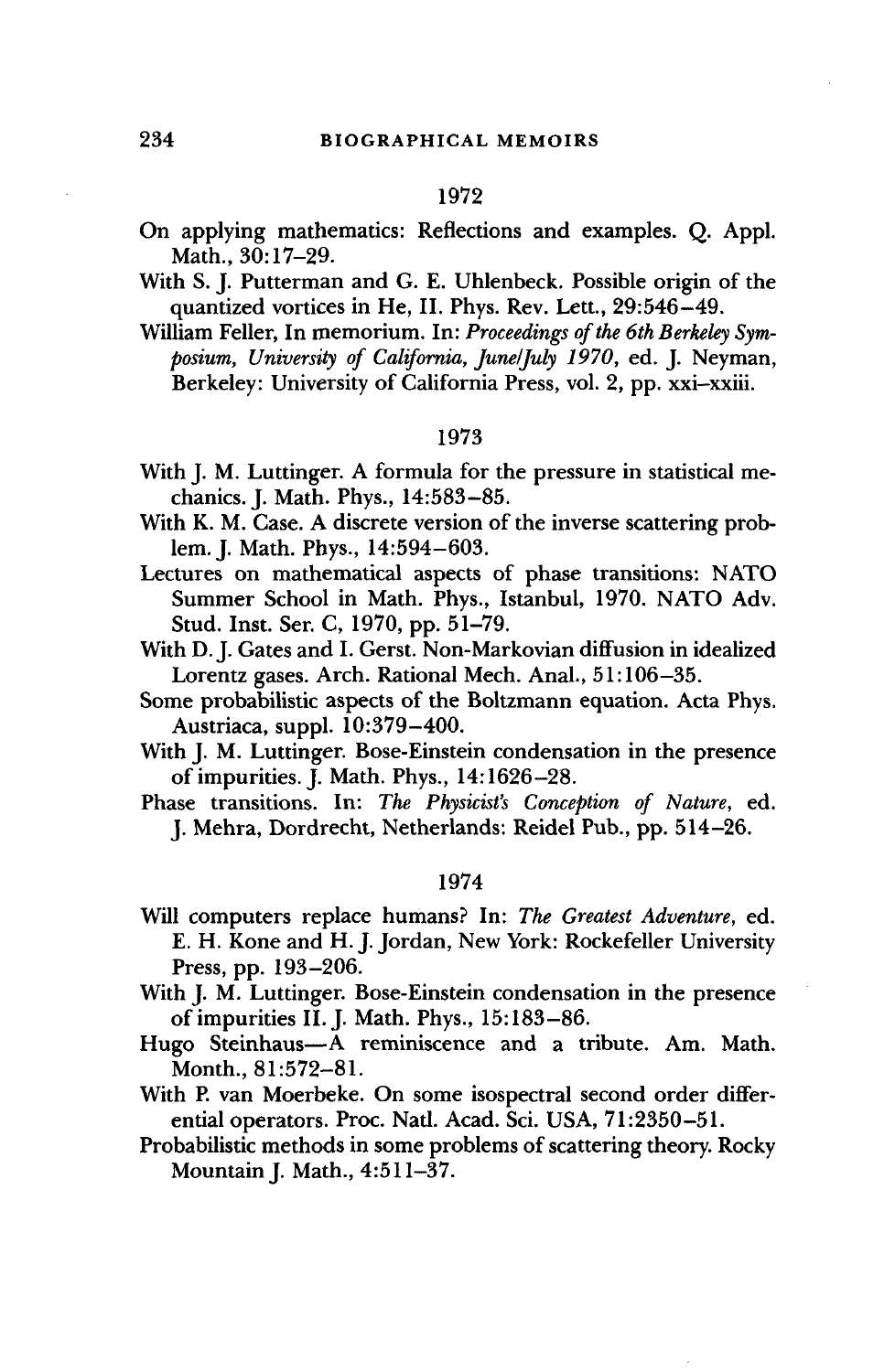- On applying mathematics: Reflections and examples. Q. Appl. Math., 30:17-29.
- With S. J. Putterman and G. E. Uhlenbeck. Possible origin of the quantized vortices in He, II. Phys. Rev. Lett., 29:546-49.
- William Feller, In memorium. In: *Proceedings of the 6th Berkeley Symposium, University of California, June/July 1970,* ed. J. Neyman, Berkeley: University of California Press, vol. 2, pp. xxi-xxiii.

#### 1973

- With J. M. Luttinger. A formula for the pressure in statistical mechanics. J. Math. Phys., 14:583-85.
- With K. M. Case. A discrete version of the inverse scattering problem. J. Math. Phys., 14:594-603.
- Lectures on mathematical aspects of phase transitions: NATO Summer School in Math. Phys., Istanbul, 1970. NATO Adv. Stud. Inst. Ser. C, 1970, pp. 51-79.
- With D. J. Gates and I. Gerst. Non-Markovian diffusion in idealized Lorentz gases. Arch. Rational Mech. Anal., 51:106-35.
- Some probabilistic aspects of the Boltzmann equation. Acta Phys. Austriaca, suppl. 10:379-400.
- With J. M. Luttinger. Bose-Einstein condensation in the presence of impurities. J. Math. Phys., 14:1626-28.
- Phase transitions. In: *The Physicist's Conception of Nature,* ed. J. Mehra, Dordrecht, Netherlands: Reidel Pub., pp. 514-26.

#### 1974

- Will computers replace humans? In: *The Greatest Adventure,* ed. E. H. Kone and H. J. Jordan, New York: Rockefeller University Press, pp. 193-206.
- With J. M. Luttinger. Bose-Einstein condensation in the presence of impurities II. J. Math. Phys., 15:183-86.
- Hugo Steinhaus—A reminiscence and a tribute. Am. Math. Month., 81:572-81.
- With P. van Moerbeke. On some isospectral second order differential operators. Proc. Natl. Acad. Sci. USA, 71:2350-51.
- Probabilistic methods in some problems of scattering theory. Rocky Mountain J. Math., 4:511-37.